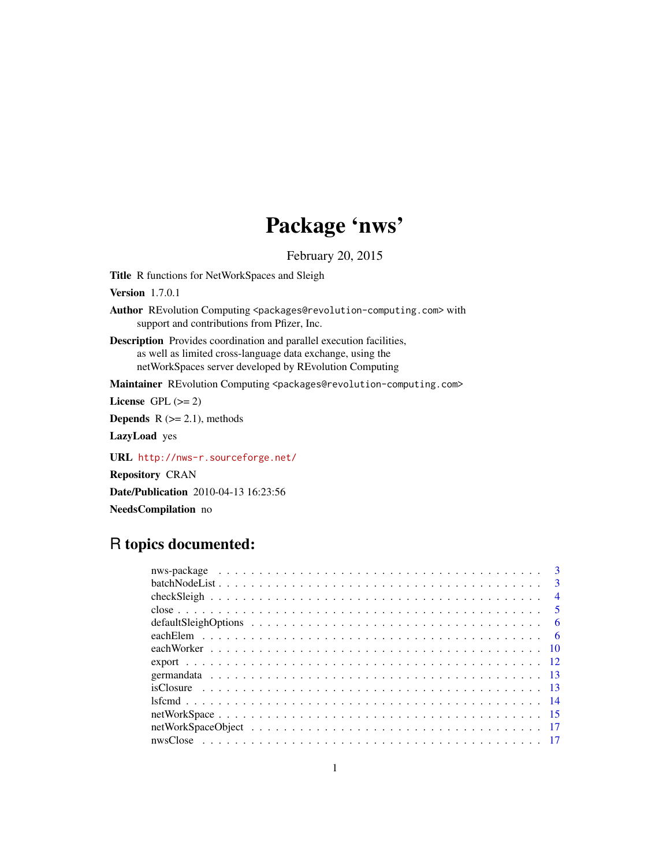# Package 'nws'

February 20, 2015

Title R functions for NetWorkSpaces and Sleigh

Version 1.7.0.1

Author REvolution Computing <packages@revolution-computing.com> with support and contributions from Pfizer, Inc.

Description Provides coordination and parallel execution facilities, as well as limited cross-language data exchange, using the netWorkSpaces server developed by REvolution Computing

Maintainer REvolution Computing <packages@revolution-computing.com>

License GPL  $(>= 2)$ 

**Depends**  $R$  ( $>= 2.1$ ), methods

LazyLoad yes

URL <http://nws-r.sourceforge.net/>

Repository CRAN

Date/Publication 2010-04-13 16:23:56

NeedsCompilation no

# R topics documented:

| $\overline{\mathbf{3}}$ |  |
|-------------------------|--|
| $\overline{\mathbf{3}}$ |  |
| $\overline{4}$          |  |
|                         |  |
| - 6                     |  |
|                         |  |
|                         |  |
|                         |  |
|                         |  |
|                         |  |
|                         |  |
|                         |  |
|                         |  |
|                         |  |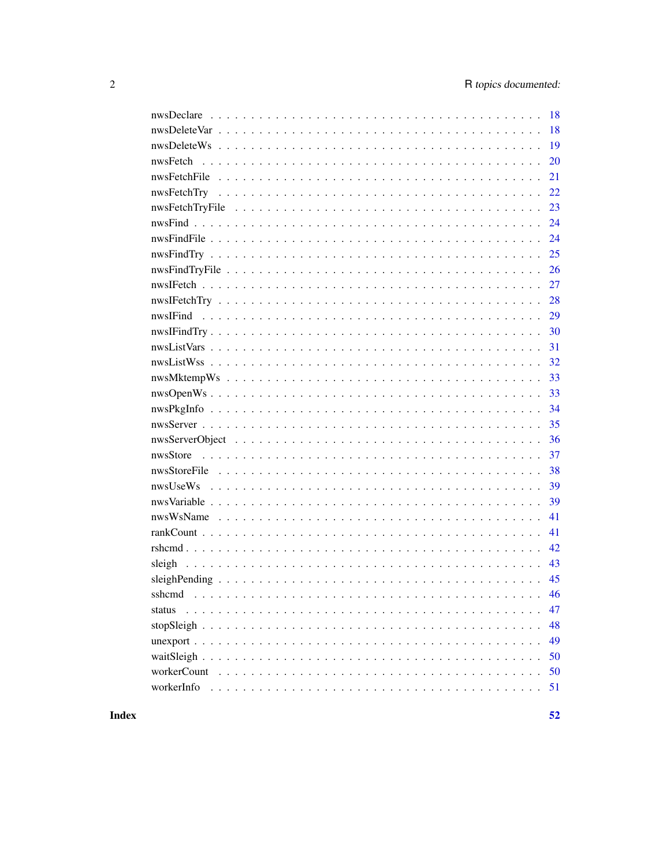|            | 18 |
|------------|----|
|            | 18 |
|            | 19 |
|            | 20 |
|            | 21 |
|            | 22 |
|            | 23 |
|            | 24 |
|            | 24 |
|            | 25 |
|            | 26 |
|            | 27 |
|            | 28 |
|            | 29 |
|            | 30 |
|            | 31 |
|            | 32 |
|            | 33 |
|            | 33 |
|            | 34 |
|            | 35 |
|            | 36 |
|            | 37 |
|            | 38 |
|            | 39 |
|            | 39 |
|            | 41 |
|            | 41 |
|            | 42 |
|            | 43 |
|            | 45 |
|            | 46 |
| status     | 47 |
|            | 48 |
|            | 49 |
|            | 50 |
|            | 50 |
| workerInfo | 51 |
|            |    |

**Index**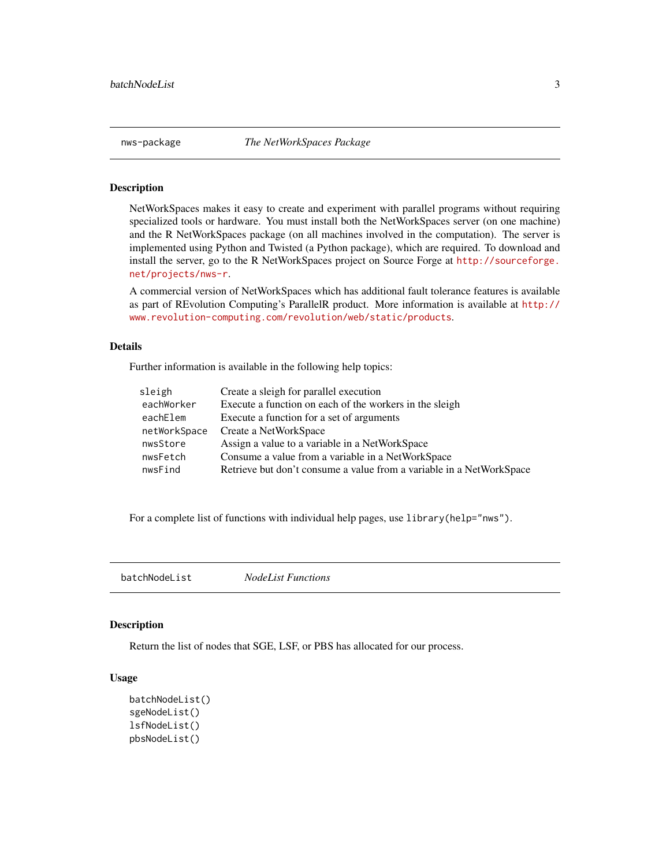<span id="page-2-0"></span>

NetWorkSpaces makes it easy to create and experiment with parallel programs without requiring specialized tools or hardware. You must install both the NetWorkSpaces server (on one machine) and the R NetWorkSpaces package (on all machines involved in the computation). The server is implemented using Python and Twisted (a Python package), which are required. To download and install the server, go to the R NetWorkSpaces project on Source Forge at [http://sourceforge.](http://sourceforge.net/projects/nws-r) [net/projects/nws-r](http://sourceforge.net/projects/nws-r).

A commercial version of NetWorkSpaces which has additional fault tolerance features is available as part of REvolution Computing's ParallelR product. More information is available at [http://](http://www.revolution-computing.com/revolution/web/static/products) [www.revolution-computing.com/revolution/web/static/products](http://www.revolution-computing.com/revolution/web/static/products).

#### Details

Further information is available in the following help topics:

| sleigh       | Create a sleigh for parallel execution                               |
|--------------|----------------------------------------------------------------------|
| eachWorker   | Execute a function on each of the workers in the sleigh              |
| eachElem     | Execute a function for a set of arguments                            |
| netWorkSpace | Create a NetWorkSpace                                                |
| nwsStore     | Assign a value to a variable in a NetWorkSpace                       |
| nwsFetch     | Consume a value from a variable in a NetWorkSpace                    |
| nwsFind      | Retrieve but don't consume a value from a variable in a NetWorkSpace |

For a complete list of functions with individual help pages, use library(help="nws").

batchNodeList *NodeList Functions*

# Description

Return the list of nodes that SGE, LSF, or PBS has allocated for our process.

#### Usage

```
batchNodeList()
sgeNodeList()
lsfNodeList()
pbsNodeList()
```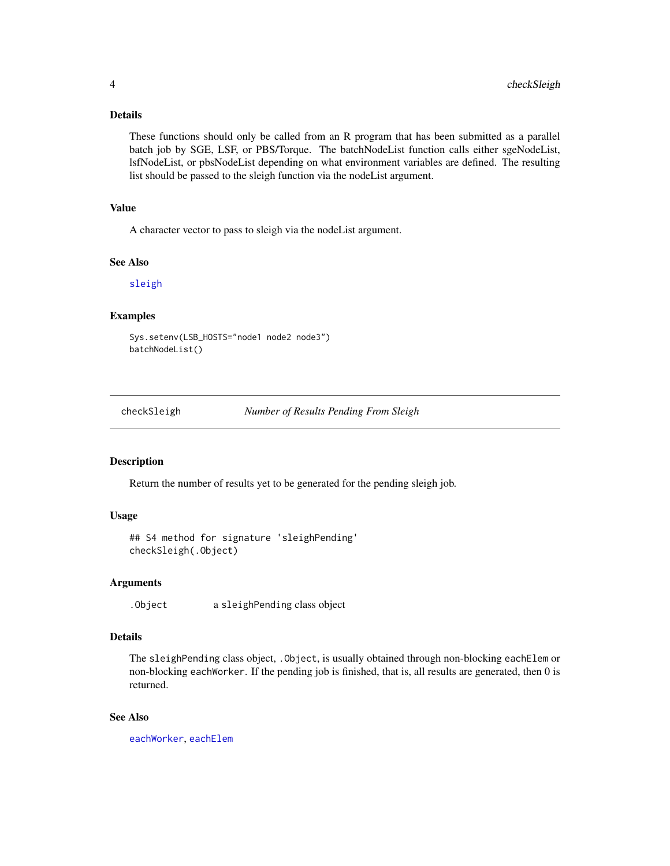# <span id="page-3-0"></span>Details

These functions should only be called from an R program that has been submitted as a parallel batch job by SGE, LSF, or PBS/Torque. The batchNodeList function calls either sgeNodeList, lsfNodeList, or pbsNodeList depending on what environment variables are defined. The resulting list should be passed to the sleigh function via the nodeList argument.

#### Value

A character vector to pass to sleigh via the nodeList argument.

#### See Also

[sleigh](#page-42-1)

# Examples

Sys.setenv(LSB\_HOSTS="node1 node2 node3") batchNodeList()

checkSleigh *Number of Results Pending From Sleigh*

#### Description

Return the number of results yet to be generated for the pending sleigh job.

# Usage

```
## S4 method for signature 'sleighPending'
checkSleigh(.Object)
```
# Arguments

.Object a sleighPending class object

# Details

The sleighPending class object, .Object, is usually obtained through non-blocking eachElem or non-blocking eachWorker. If the pending job is finished, that is, all results are generated, then 0 is returned.

# See Also

[eachWorker](#page-9-1), [eachElem](#page-5-1)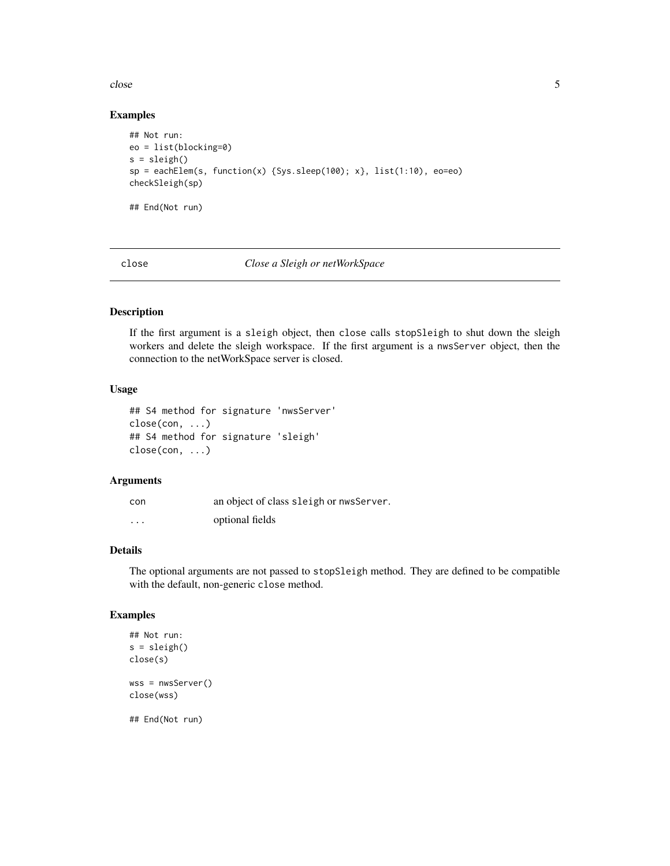<span id="page-4-0"></span>close 5

### Examples

```
## Not run:
eo = list(blocking=0)
s = sleigh()sp = eachElem(s, function(x) {Sys.sleep(100); x}, list(1:10), eo=eo)
checkSleigh(sp)
## End(Not run)
```
<span id="page-4-1"></span>close *Close a Sleigh or netWorkSpace*

# Description

If the first argument is a sleigh object, then close calls stopSleigh to shut down the sleigh workers and delete the sleigh workspace. If the first argument is a nwsServer object, then the connection to the netWorkSpace server is closed.

#### Usage

```
## S4 method for signature 'nwsServer'
close(con, ...)
## S4 method for signature 'sleigh'
close(con, ...)
```
# Arguments

| con      | an object of class sleigh or nwsServer. |
|----------|-----------------------------------------|
| $\cdots$ | optional fields                         |

# Details

The optional arguments are not passed to stopSleigh method. They are defined to be compatible with the default, non-generic close method.

```
## Not run:
s = sleigh()close(s)
wss = nwsServer()
close(wss)
## End(Not run)
```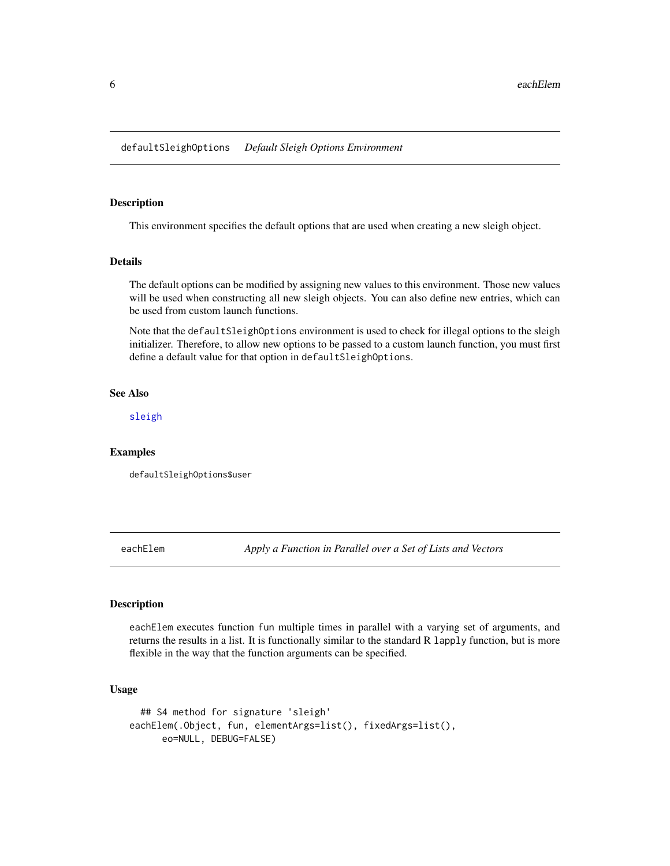<span id="page-5-2"></span><span id="page-5-0"></span>This environment specifies the default options that are used when creating a new sleigh object.

#### Details

The default options can be modified by assigning new values to this environment. Those new values will be used when constructing all new sleigh objects. You can also define new entries, which can be used from custom launch functions.

Note that the defaultSleighOptions environment is used to check for illegal options to the sleigh initializer. Therefore, to allow new options to be passed to a custom launch function, you must first define a default value for that option in defaultSleighOptions.

# See Also

[sleigh](#page-42-1)

#### Examples

defaultSleighOptions\$user

<span id="page-5-1"></span>eachElem *Apply a Function in Parallel over a Set of Lists and Vectors*

#### Description

eachElem executes function fun multiple times in parallel with a varying set of arguments, and returns the results in a list. It is functionally similar to the standard R lapply function, but is more flexible in the way that the function arguments can be specified.

#### Usage

```
## S4 method for signature 'sleigh'
eachElem(.Object, fun, elementArgs=list(), fixedArgs=list(),
     eo=NULL, DEBUG=FALSE)
```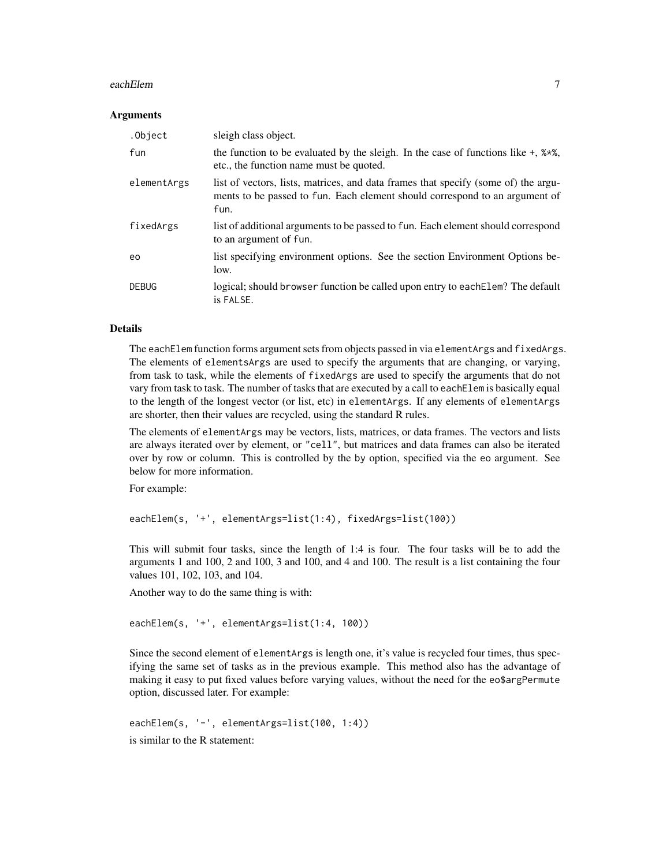#### eachElem 7

#### **Arguments**

| .Object      | sleigh class object.                                                                                                                                                      |
|--------------|---------------------------------------------------------------------------------------------------------------------------------------------------------------------------|
| fun          | the function to be evaluated by the sleigh. In the case of functions like $+$ , $2 \times 2$ ,<br>etc., the function name must be quoted.                                 |
| elementArgs  | list of vectors, lists, matrices, and data frames that specify (some of) the argu-<br>ments to be passed to fun. Each element should correspond to an argument of<br>fun. |
| fixedArgs    | list of additional arguments to be passed to fun. Each element should correspond<br>to an argument of fun.                                                                |
| eo           | list specifying environment options. See the section Environment Options be-<br>low.                                                                                      |
| <b>DEBUG</b> | logical; should browser function be called upon entry to each Elem? The default<br>is FALSE.                                                                              |

#### Details

The eachElem function forms argument sets from objects passed in via elementArgs and fixedArgs. The elements of elementsArgs are used to specify the arguments that are changing, or varying, from task to task, while the elements of fixedArgs are used to specify the arguments that do not vary from task to task. The number of tasks that are executed by a call to eachElem is basically equal to the length of the longest vector (or list, etc) in elementArgs. If any elements of elementArgs are shorter, then their values are recycled, using the standard R rules.

The elements of elementArgs may be vectors, lists, matrices, or data frames. The vectors and lists are always iterated over by element, or "cell", but matrices and data frames can also be iterated over by row or column. This is controlled by the by option, specified via the eo argument. See below for more information.

For example:

eachElem(s, '+', elementArgs=list(1:4), fixedArgs=list(100))

This will submit four tasks, since the length of 1:4 is four. The four tasks will be to add the arguments 1 and 100, 2 and 100, 3 and 100, and 4 and 100. The result is a list containing the four values 101, 102, 103, and 104.

Another way to do the same thing is with:

```
eachElem(s, '+', elementArgs=list(1:4, 100))
```
Since the second element of elementArgs is length one, it's value is recycled four times, thus specifying the same set of tasks as in the previous example. This method also has the advantage of making it easy to put fixed values before varying values, without the need for the eo\$argPermute option, discussed later. For example:

eachElem(s, '-', elementArgs=list(100, 1:4)) is similar to the R statement: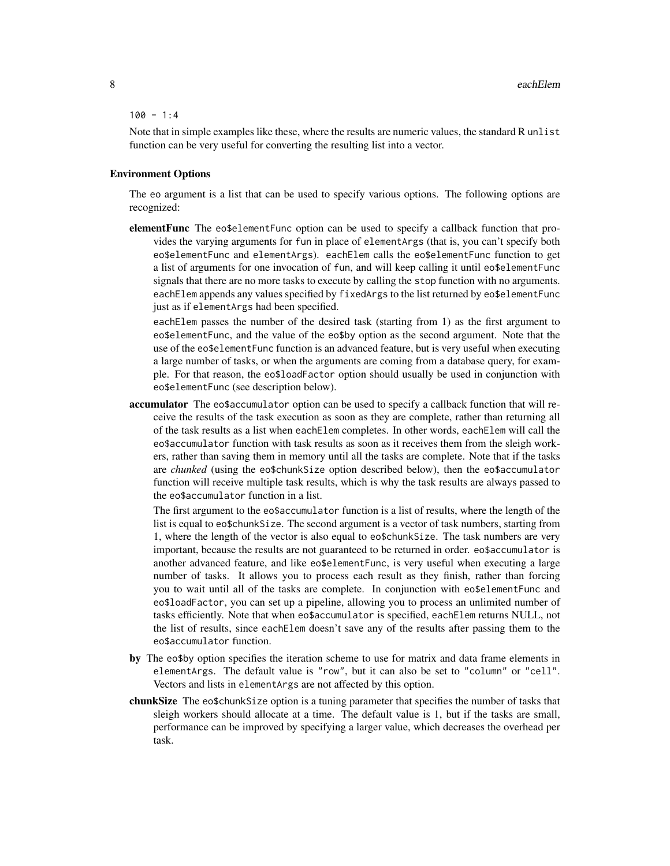#### $100 - 1:4$

Note that in simple examples like these, where the results are numeric values, the standard R unlist function can be very useful for converting the resulting list into a vector.

# Environment Options

The eo argument is a list that can be used to specify various options. The following options are recognized:

elementFunc The eo\$elementFunc option can be used to specify a callback function that provides the varying arguments for fun in place of elementArgs (that is, you can't specify both eo\$elementFunc and elementArgs). eachElem calls the eo\$elementFunc function to get a list of arguments for one invocation of fun, and will keep calling it until eo\$elementFunc signals that there are no more tasks to execute by calling the stop function with no arguments. eachElem appends any values specified by fixedArgs to the list returned by eo\$elementFunc just as if elementArgs had been specified.

eachElem passes the number of the desired task (starting from 1) as the first argument to eo\$elementFunc, and the value of the eo\$by option as the second argument. Note that the use of the eo\$elementFunc function is an advanced feature, but is very useful when executing a large number of tasks, or when the arguments are coming from a database query, for example. For that reason, the eo\$loadFactor option should usually be used in conjunction with eo\$elementFunc (see description below).

accumulator The eo\$accumulator option can be used to specify a callback function that will receive the results of the task execution as soon as they are complete, rather than returning all of the task results as a list when eachElem completes. In other words, eachElem will call the eo\$accumulator function with task results as soon as it receives them from the sleigh workers, rather than saving them in memory until all the tasks are complete. Note that if the tasks are *chunked* (using the eo\$chunkSize option described below), then the eo\$accumulator function will receive multiple task results, which is why the task results are always passed to the eo\$accumulator function in a list.

The first argument to the eo\$accumulator function is a list of results, where the length of the list is equal to eo\$chunkSize. The second argument is a vector of task numbers, starting from 1, where the length of the vector is also equal to eo\$chunkSize. The task numbers are very important, because the results are not guaranteed to be returned in order. eo\$accumulator is another advanced feature, and like eo\$elementFunc, is very useful when executing a large number of tasks. It allows you to process each result as they finish, rather than forcing you to wait until all of the tasks are complete. In conjunction with eo\$elementFunc and eo\$loadFactor, you can set up a pipeline, allowing you to process an unlimited number of tasks efficiently. Note that when eo\$accumulator is specified, eachElem returns NULL, not the list of results, since eachElem doesn't save any of the results after passing them to the eo\$accumulator function.

- by The eo\$by option specifies the iteration scheme to use for matrix and data frame elements in elementArgs. The default value is "row", but it can also be set to "column" or "cell". Vectors and lists in elementArgs are not affected by this option.
- chunkSize The eo\$chunkSize option is a tuning parameter that specifies the number of tasks that sleigh workers should allocate at a time. The default value is 1, but if the tasks are small, performance can be improved by specifying a larger value, which decreases the overhead per task.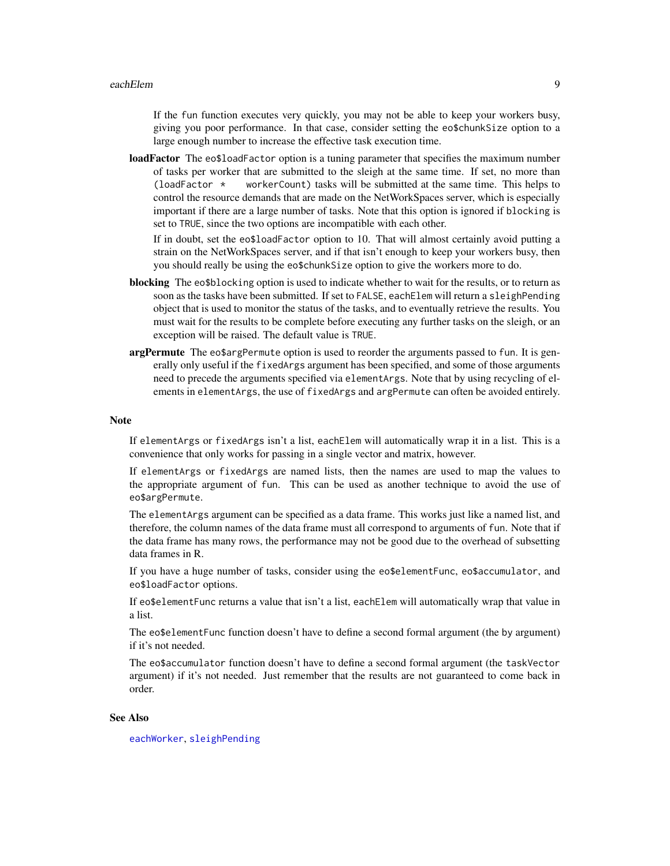<span id="page-8-0"></span>If the fun function executes very quickly, you may not be able to keep your workers busy, giving you poor performance. In that case, consider setting the eo\$chunkSize option to a large enough number to increase the effective task execution time.

**loadFactor** The eo\$loadFactor option is a tuning parameter that specifies the maximum number of tasks per worker that are submitted to the sleigh at the same time. If set, no more than (loadFactor  $\star$  workerCount) tasks will be submitted at the same time. This helps to control the resource demands that are made on the NetWorkSpaces server, which is especially important if there are a large number of tasks. Note that this option is ignored if blocking is set to TRUE, since the two options are incompatible with each other.

If in doubt, set the eo\$loadFactor option to 10. That will almost certainly avoid putting a strain on the NetWorkSpaces server, and if that isn't enough to keep your workers busy, then you should really be using the eo\$chunkSize option to give the workers more to do.

- blocking The eo\$blocking option is used to indicate whether to wait for the results, or to return as soon as the tasks have been submitted. If set to FALSE, eachElem will return a sleighPending object that is used to monitor the status of the tasks, and to eventually retrieve the results. You must wait for the results to be complete before executing any further tasks on the sleigh, or an exception will be raised. The default value is TRUE.
- argPermute The eo\$argPermute option is used to reorder the arguments passed to fun. It is generally only useful if the fixedArgs argument has been specified, and some of those arguments need to precede the arguments specified via elementArgs. Note that by using recycling of elements in elementArgs, the use of fixedArgs and argPermute can often be avoided entirely.

#### Note

If elementArgs or fixedArgs isn't a list, eachElem will automatically wrap it in a list. This is a convenience that only works for passing in a single vector and matrix, however.

If elementArgs or fixedArgs are named lists, then the names are used to map the values to the appropriate argument of fun. This can be used as another technique to avoid the use of eo\$argPermute.

The elementArgs argument can be specified as a data frame. This works just like a named list, and therefore, the column names of the data frame must all correspond to arguments of fun. Note that if the data frame has many rows, the performance may not be good due to the overhead of subsetting data frames in R.

If you have a huge number of tasks, consider using the eo\$elementFunc, eo\$accumulator, and eo\$loadFactor options.

If eo\$elementFunc returns a value that isn't a list, eachElem will automatically wrap that value in a list.

The eo\$elementFunc function doesn't have to define a second formal argument (the by argument) if it's not needed.

The eo\$accumulator function doesn't have to define a second formal argument (the taskVector argument) if it's not needed. Just remember that the results are not guaranteed to come back in order.

#### See Also

[eachWorker](#page-9-1), [sleighPending](#page-44-1)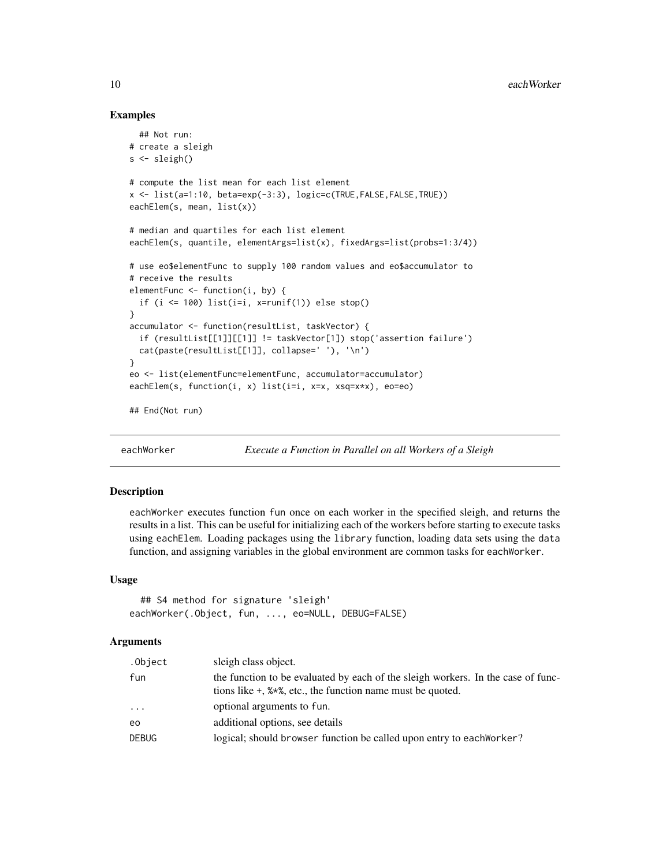### Examples

```
## Not run:
# create a sleigh
s <- sleigh()
# compute the list mean for each list element
x <- list(a=1:10, beta=exp(-3:3), logic=c(TRUE,FALSE,FALSE,TRUE))
eachElem(s, mean, list(x))
# median and quartiles for each list element
eachElem(s, quantile, elementArgs=list(x), fixedArgs=list(probs=1:3/4))
# use eo$elementFunc to supply 100 random values and eo$accumulator to
# receive the results
elementFunc <- function(i, by) {
 if (i \le 100) list(i=i, x=runif(1)) else stop()
}
accumulator <- function(resultList, taskVector) {
 if (resultList[[1]][[1]] != taskVector[1]) stop('assertion failure')
 cat(paste(resultList[[1]], collapse=' '), '\n')
}
eo <- list(elementFunc=elementFunc, accumulator=accumulator)
eachElem(s, function(i, x) list(i=i, x=x, xsq=x*x), eo=eo)
## End(Not run)
```
<span id="page-9-1"></span>eachWorker *Execute a Function in Parallel on all Workers of a Sleigh*

#### Description

eachWorker executes function fun once on each worker in the specified sleigh, and returns the results in a list. This can be useful for initializing each of the workers before starting to execute tasks using eachElem. Loading packages using the library function, loading data sets using the data function, and assigning variables in the global environment are common tasks for eachWorker.

#### Usage

```
## S4 method for signature 'sleigh'
eachWorker(.Object, fun, ..., eo=NULL, DEBUG=FALSE)
```
#### Arguments

| .Object      | sleigh class object.                                                                                                                                |
|--------------|-----------------------------------------------------------------------------------------------------------------------------------------------------|
| fun          | the function to be evaluated by each of the sleigh workers. In the case of func-<br>tions like $+$ , $%*$ , etc., the function name must be quoted. |
| $\cdots$     | optional arguments to fun.                                                                                                                          |
| eo           | additional options, see details                                                                                                                     |
| <b>DEBUG</b> | logical; should browser function be called upon entry to each Worker?                                                                               |

<span id="page-9-0"></span>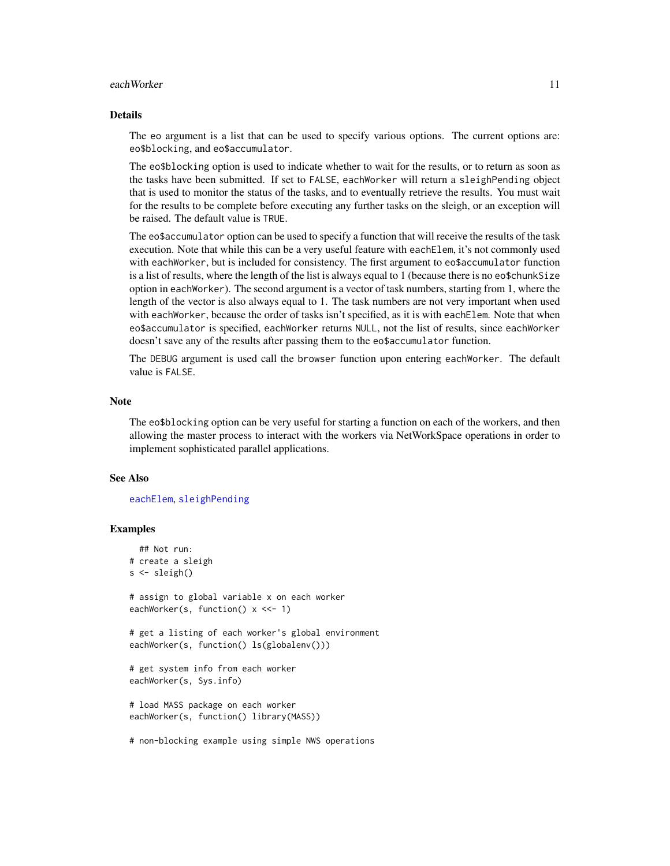#### <span id="page-10-0"></span>eachWorker 11

#### Details

The eo argument is a list that can be used to specify various options. The current options are: eo\$blocking, and eo\$accumulator.

The eo\$blocking option is used to indicate whether to wait for the results, or to return as soon as the tasks have been submitted. If set to FALSE, eachWorker will return a sleighPending object that is used to monitor the status of the tasks, and to eventually retrieve the results. You must wait for the results to be complete before executing any further tasks on the sleigh, or an exception will be raised. The default value is TRUE.

The eo\$accumulator option can be used to specify a function that will receive the results of the task execution. Note that while this can be a very useful feature with each Elem, it's not commonly used with eachWorker, but is included for consistency. The first argument to eo\$accumulator function is a list of results, where the length of the list is always equal to 1 (because there is no eo\$chunkSize option in eachWorker). The second argument is a vector of task numbers, starting from 1, where the length of the vector is also always equal to 1. The task numbers are not very important when used with eachWorker, because the order of tasks isn't specified, as it is with eachElem. Note that when eo\$accumulator is specified, eachWorker returns NULL, not the list of results, since eachWorker doesn't save any of the results after passing them to the eo\$accumulator function.

The DEBUG argument is used call the browser function upon entering eachWorker. The default value is FALSE.

#### Note

The eo\$blocking option can be very useful for starting a function on each of the workers, and then allowing the master process to interact with the workers via NetWorkSpace operations in order to implement sophisticated parallel applications.

#### See Also

[eachElem](#page-5-1), [sleighPending](#page-44-1)

```
## Not run:
# create a sleigh
s <- sleigh()
# assign to global variable x on each worker
eachWorker(s, function() x <<- 1)
# get a listing of each worker's global environment
eachWorker(s, function() ls(globalenv()))
# get system info from each worker
eachWorker(s, Sys.info)
# load MASS package on each worker
eachWorker(s, function() library(MASS))
# non-blocking example using simple NWS operations
```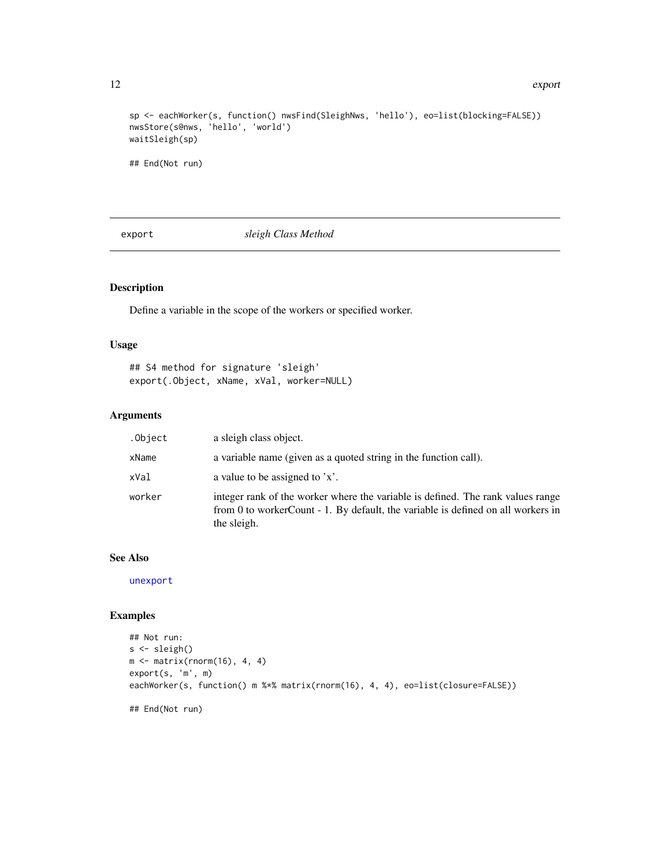#### <span id="page-11-0"></span>12 export

```
sp <- eachWorker(s, function() nwsFind(SleighNws, 'hello'), eo=list(blocking=FALSE))
nwsStore(s@nws, 'hello', 'world')
waitSleigh(sp)
## End(Not run)
```
<span id="page-11-1"></span>export *sleigh Class Method*

# Description

Define a variable in the scope of the workers or specified worker.

# Usage

```
## S4 method for signature 'sleigh'
export(.Object, xName, xVal, worker=NULL)
```
# Arguments

| .Object | a sleigh class object.                                                                                                                                                             |
|---------|------------------------------------------------------------------------------------------------------------------------------------------------------------------------------------|
| xName   | a variable name (given as a quoted string in the function call).                                                                                                                   |
| xVal    | a value to be assigned to $x$ .                                                                                                                                                    |
| worker  | integer rank of the worker where the variable is defined. The rank values range<br>from 0 to workerCount - 1. By default, the variable is defined on all workers in<br>the sleigh. |

# See Also

[unexport](#page-48-1)

```
## Not run:
s <- sleigh()
m \leftarrow matrix(rnorm(16), 4, 4)export(s, 'm', m)
eachWorker(s, function() m %*% matrix(rnorm(16), 4, 4), eo=list(closure=FALSE))
## End(Not run)
```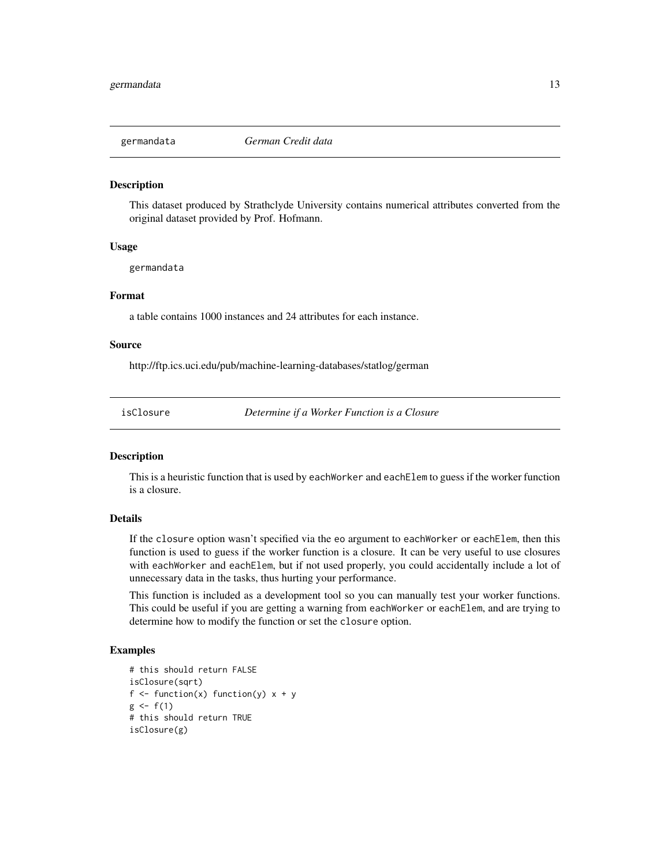<span id="page-12-0"></span>

This dataset produced by Strathclyde University contains numerical attributes converted from the original dataset provided by Prof. Hofmann.

#### Usage

germandata

# Format

a table contains 1000 instances and 24 attributes for each instance.

#### Source

http://ftp.ics.uci.edu/pub/machine-learning-databases/statlog/german

isClosure *Determine if a Worker Function is a Closure*

# **Description**

This is a heuristic function that is used by eachWorker and eachElem to guess if the worker function is a closure.

# Details

If the closure option wasn't specified via the eo argument to eachWorker or eachElem, then this function is used to guess if the worker function is a closure. It can be very useful to use closures with eachWorker and eachElem, but if not used properly, you could accidentally include a lot of unnecessary data in the tasks, thus hurting your performance.

This function is included as a development tool so you can manually test your worker functions. This could be useful if you are getting a warning from eachWorker or eachElem, and are trying to determine how to modify the function or set the closure option.

```
# this should return FALSE
isClosure(sqrt)
f \leftarrow function(x) function(y) x + yg \leftarrow f(1)# this should return TRUE
isClosure(g)
```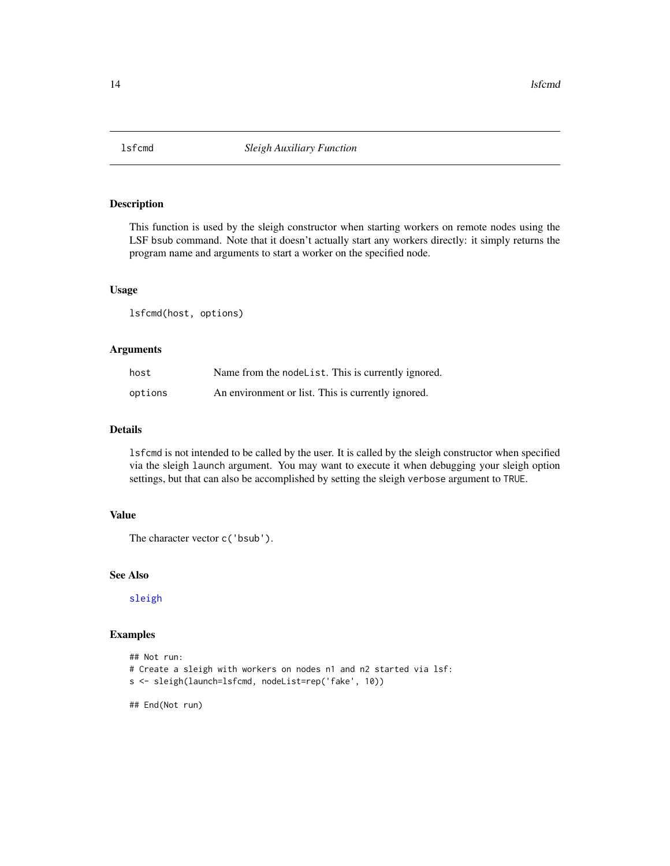<span id="page-13-0"></span>

This function is used by the sleigh constructor when starting workers on remote nodes using the LSF bsub command. Note that it doesn't actually start any workers directly: it simply returns the program name and arguments to start a worker on the specified node.

# Usage

lsfcmd(host, options)

# Arguments

| host    | Name from the nodel ist. This is currently ignored. |
|---------|-----------------------------------------------------|
| options | An environment or list. This is currently ignored.  |

#### Details

lsfcmd is not intended to be called by the user. It is called by the sleigh constructor when specified via the sleigh launch argument. You may want to execute it when debugging your sleigh option settings, but that can also be accomplished by setting the sleigh verbose argument to TRUE.

# Value

```
The character vector c('bsub').
```
# See Also

[sleigh](#page-42-1)

#### Examples

```
## Not run:
# Create a sleigh with workers on nodes n1 and n2 started via lsf:
s <- sleigh(launch=lsfcmd, nodeList=rep('fake', 10))
```
## End(Not run)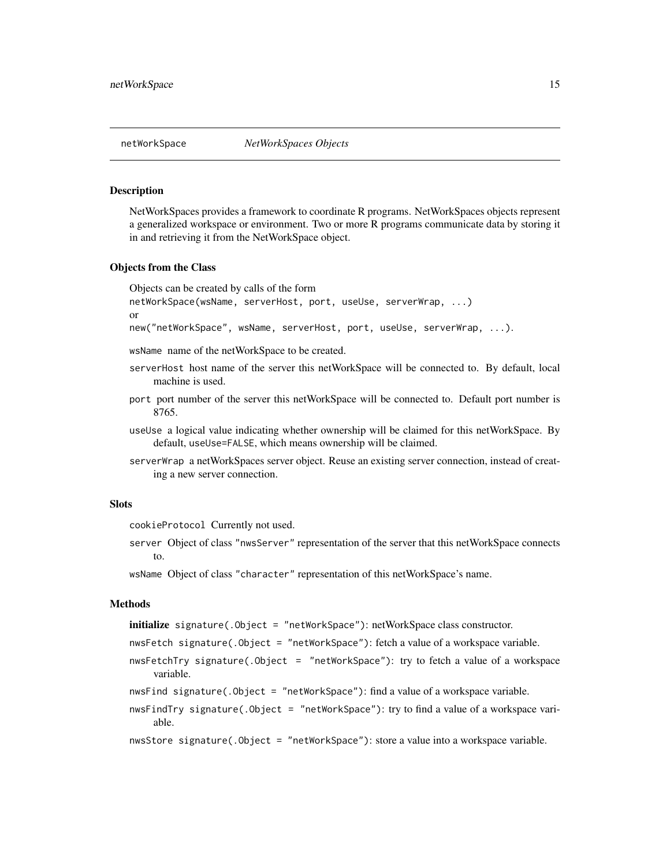<span id="page-14-0"></span>NetWorkSpaces provides a framework to coordinate R programs. NetWorkSpaces objects represent a generalized workspace or environment. Two or more R programs communicate data by storing it in and retrieving it from the NetWorkSpace object.

#### Objects from the Class

Objects can be created by calls of the form netWorkSpace(wsName, serverHost, port, useUse, serverWrap, ...) or new("netWorkSpace", wsName, serverHost, port, useUse, serverWrap, ...).

wsName name of the netWorkSpace to be created.

- serverHost host name of the server this netWorkSpace will be connected to. By default, local machine is used.
- port port number of the server this netWorkSpace will be connected to. Default port number is 8765.
- useUse a logical value indicating whether ownership will be claimed for this netWorkSpace. By default, useUse=FALSE, which means ownership will be claimed.
- serverWrap a netWorkSpaces server object. Reuse an existing server connection, instead of creating a new server connection.

# Slots

cookieProtocol Currently not used.

server Object of class "nwsServer" representation of the server that this netWorkSpace connects to.

wsName Object of class "character" representation of this netWorkSpace's name.

#### **Methods**

```
initialize signature(.Object = "netWorkSpace"): netWorkSpace class constructor.
```

```
nwsFetch signature(.Object = "netWorkSpace"): fetch a value of a workspace variable.
```
nwsFetchTry signature(.Object = "netWorkSpace"): try to fetch a value of a workspace variable.

```
nwsFind signature(.Object = "netWorkSpace"): find a value of a workspace variable.
```
nwsFindTry signature(.Object = "netWorkSpace"): try to find a value of a workspace variable.

```
nwsStore signature(.Object = "netWorkSpace"): store a value into a workspace variable.
```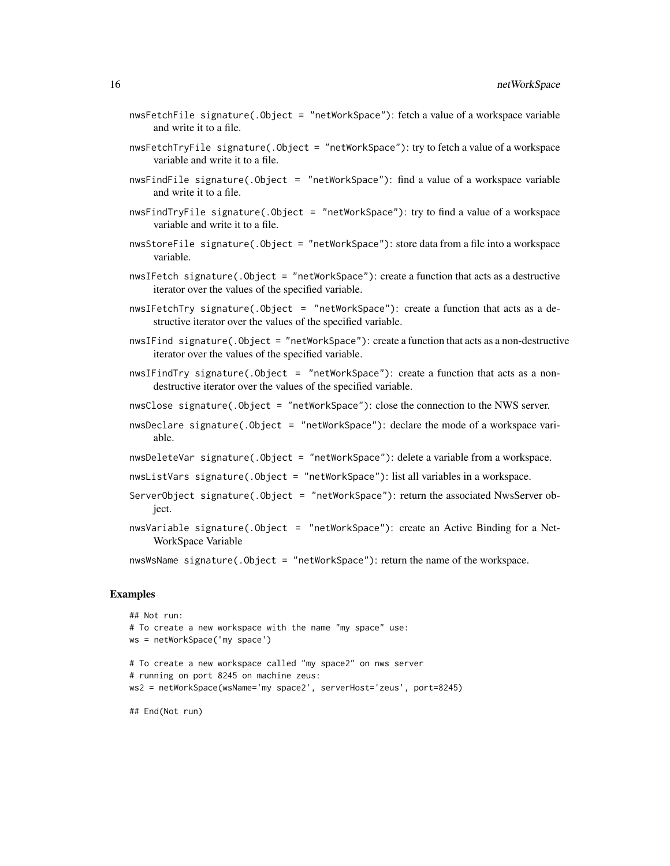- nwsFetchFile signature(.Object = "netWorkSpace"): fetch a value of a workspace variable and write it to a file.
- nwsFetchTryFile signature(.Object = "netWorkSpace"): try to fetch a value of a workspace variable and write it to a file.
- nwsFindFile signature(.Object = "netWorkSpace"): find a value of a workspace variable and write it to a file.
- nwsFindTryFile signature(.Object = "netWorkSpace"): try to find a value of a workspace variable and write it to a file.
- nwsStoreFile signature(.Object = "netWorkSpace"): store data from a file into a workspace variable.
- nwsIFetch signature(.Object = "netWorkSpace"): create a function that acts as a destructive iterator over the values of the specified variable.
- nwsIFetchTry signature(.Object = "netWorkSpace"): create a function that acts as a destructive iterator over the values of the specified variable.
- nwsIFind signature(.Object = "netWorkSpace"): create a function that acts as a non-destructive iterator over the values of the specified variable.
- nwsIFindTry signature(.Object = "netWorkSpace"): create a function that acts as a nondestructive iterator over the values of the specified variable.
- nwsClose signature(.Object = "netWorkSpace"): close the connection to the NWS server.
- nwsDeclare signature(.Object = "netWorkSpace"): declare the mode of a workspace variable.
- nwsDeleteVar signature(.Object = "netWorkSpace"): delete a variable from a workspace.
- nwsListVars signature(.Object = "netWorkSpace"): list all variables in a workspace.
- ServerObject signature(.Object = "netWorkSpace"): return the associated NwsServer object.
- nwsVariable signature(.Object = "netWorkSpace"): create an Active Binding for a Net-WorkSpace Variable

nwsWsName signature(.Object = "netWorkSpace"): return the name of the workspace.

```
## Not run:
# To create a new workspace with the name "my space" use:
ws = netWorkSpace('my space')
# To create a new workspace called "my space2" on nws server
# running on port 8245 on machine zeus:
ws2 = netWorkSpace(wsName='my space2', serverHost='zeus', port=8245)
## End(Not run)
```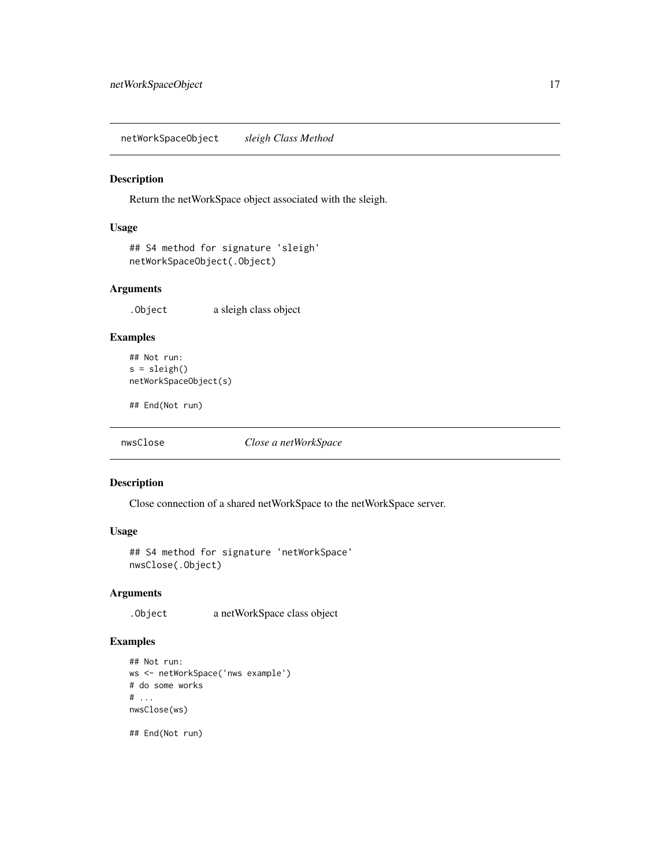<span id="page-16-0"></span>netWorkSpaceObject *sleigh Class Method*

### Description

Return the netWorkSpace object associated with the sleigh.

# Usage

```
## S4 method for signature 'sleigh'
netWorkSpaceObject(.Object)
```
# Arguments

.Object a sleigh class object

# Examples

```
## Not run:
s = sleigh()netWorkSpaceObject(s)
```
## End(Not run)

nwsClose *Close a netWorkSpace*

#### Description

Close connection of a shared netWorkSpace to the netWorkSpace server.

#### Usage

```
## S4 method for signature 'netWorkSpace'
nwsClose(.Object)
```
#### Arguments

.Object a netWorkSpace class object

# Examples

```
## Not run:
ws <- netWorkSpace('nws example')
# do some works
# ...
nwsClose(ws)
```
## End(Not run)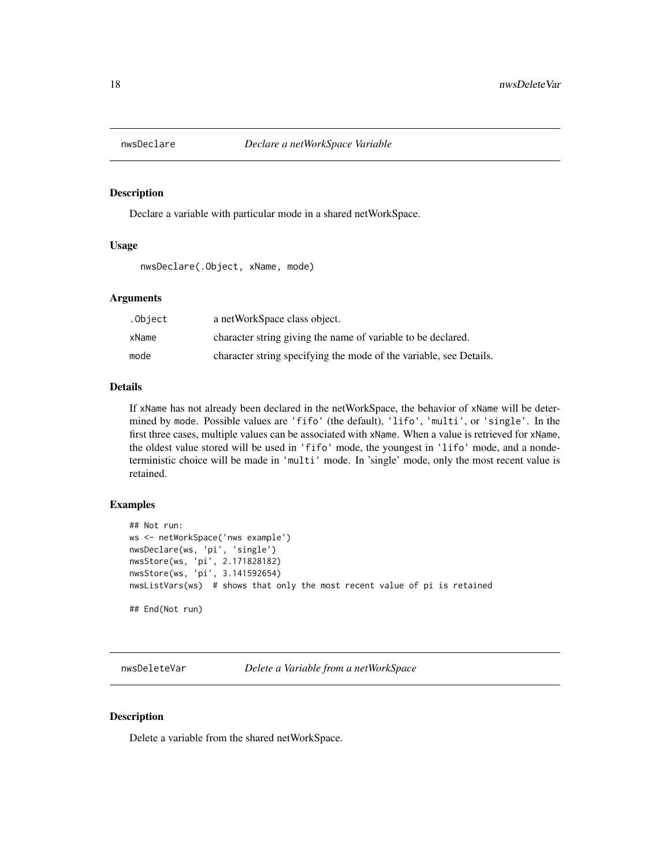<span id="page-17-1"></span><span id="page-17-0"></span>

Declare a variable with particular mode in a shared netWorkSpace.

# Usage

nwsDeclare(.Object, xName, mode)

# Arguments

| .Object | a netWorkSpace class object.                                       |
|---------|--------------------------------------------------------------------|
| xName   | character string giving the name of variable to be declared.       |
| mode    | character string specifying the mode of the variable, see Details. |

#### Details

If xName has not already been declared in the netWorkSpace, the behavior of xName will be determined by mode. Possible values are 'fifo' (the default), 'lifo', 'multi', or 'single'. In the first three cases, multiple values can be associated with xName. When a value is retrieved for xName, the oldest value stored will be used in 'fifo' mode, the youngest in 'lifo' mode, and a nondeterministic choice will be made in 'multi' mode. In 'single' mode, only the most recent value is retained.

# Examples

```
## Not run:
ws <- netWorkSpace('nws example')
nwsDeclare(ws, 'pi', 'single')
nwsStore(ws, 'pi', 2.171828182)
nwsStore(ws, 'pi', 3.141592654)
nwsListVars(ws) # shows that only the most recent value of pi is retained
## End(Not run)
```
nwsDeleteVar *Delete a Variable from a netWorkSpace*

# Description

Delete a variable from the shared netWorkSpace.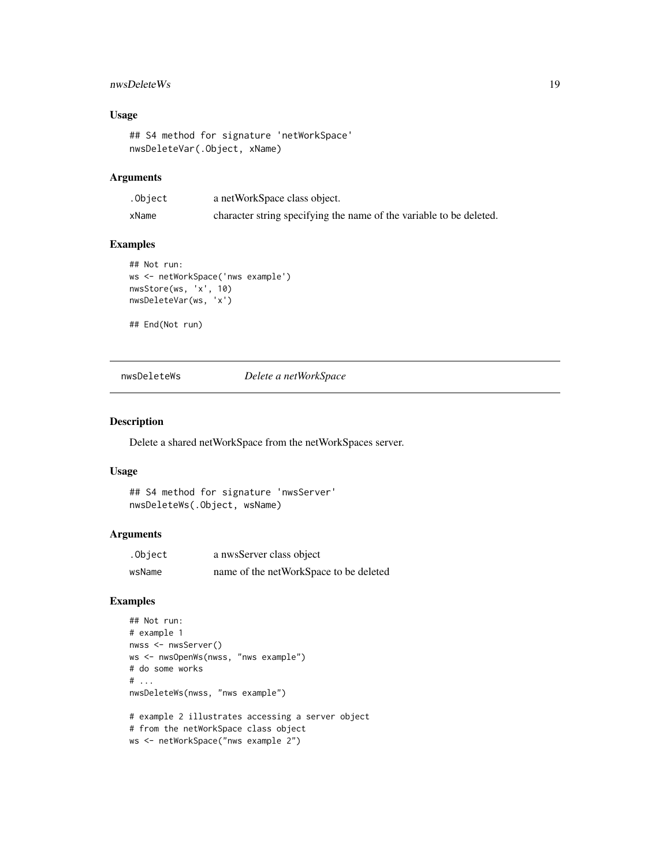# <span id="page-18-0"></span>nwsDeleteWs 19

# Usage

```
## S4 method for signature 'netWorkSpace'
nwsDeleteVar(.Object, xName)
```
#### Arguments

| .Object | a netWorkSpace class object.                                        |
|---------|---------------------------------------------------------------------|
| xName   | character string specifying the name of the variable to be deleted. |

#### Examples

```
## Not run:
ws <- netWorkSpace('nws example')
nwsStore(ws, 'x', 10)
nwsDeleteVar(ws, 'x')
```
## End(Not run)

nwsDeleteWs *Delete a netWorkSpace*

#### Description

Delete a shared netWorkSpace from the netWorkSpaces server.

#### Usage

```
## S4 method for signature 'nwsServer'
nwsDeleteWs(.Object, wsName)
```
# Arguments

| .Object | a nwsServer class object               |
|---------|----------------------------------------|
| wsName  | name of the netWorkSpace to be deleted |

```
## Not run:
# example 1
nwss <- nwsServer()
ws <- nwsOpenWs(nwss, "nws example")
# do some works
# ...
nwsDeleteWs(nwss, "nws example")
# example 2 illustrates accessing a server object
# from the netWorkSpace class object
ws <- netWorkSpace("nws example 2")
```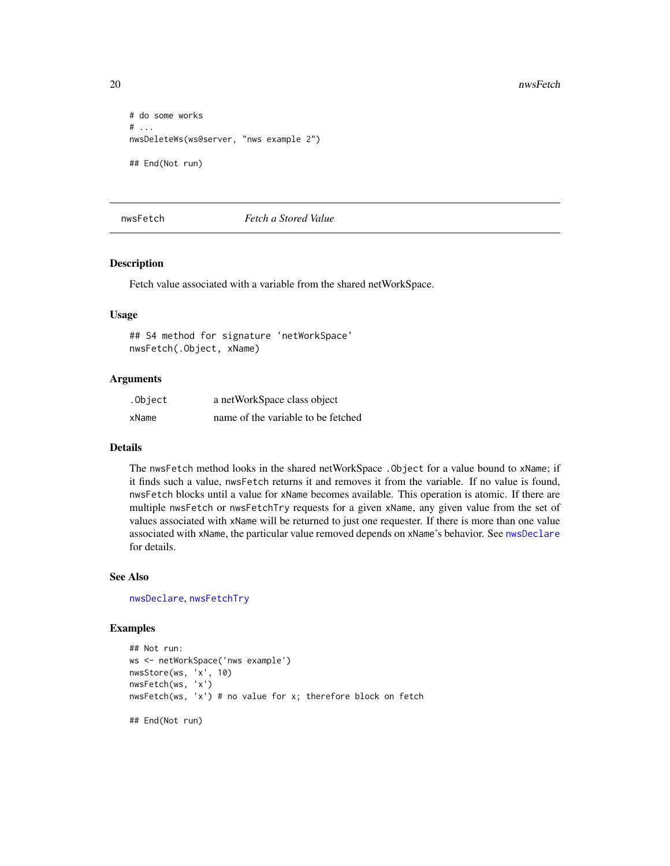```
# do some works
# ...
nwsDeleteWs(ws@server, "nws example 2")
## End(Not run)
```
# <span id="page-19-1"></span>nwsFetch *Fetch a Stored Value*

#### Description

Fetch value associated with a variable from the shared netWorkSpace.

#### Usage

## S4 method for signature 'netWorkSpace' nwsFetch(.Object, xName)

# Arguments

| .Object | a netWorkSpace class object        |
|---------|------------------------------------|
| xName   | name of the variable to be fetched |

#### Details

The nwsFetch method looks in the shared netWorkSpace .Object for a value bound to xName; if it finds such a value, nwsFetch returns it and removes it from the variable. If no value is found, nwsFetch blocks until a value for xName becomes available. This operation is atomic. If there are multiple nwsFetch or nwsFetchTry requests for a given xName, any given value from the set of values associated with xName will be returned to just one requester. If there is more than one value associated with xName, the particular value removed depends on xName's behavior. See [nwsDeclare](#page-17-1) for details.

# See Also

[nwsDeclare](#page-17-1), [nwsFetchTry](#page-21-1)

```
## Not run:
ws <- netWorkSpace('nws example')
nwsStore(ws, 'x', 10)
nwsFetch(ws, 'x')
nwsFetch(ws, 'x') # no value for x; therefore block on fetch
## End(Not run)
```
<span id="page-19-0"></span>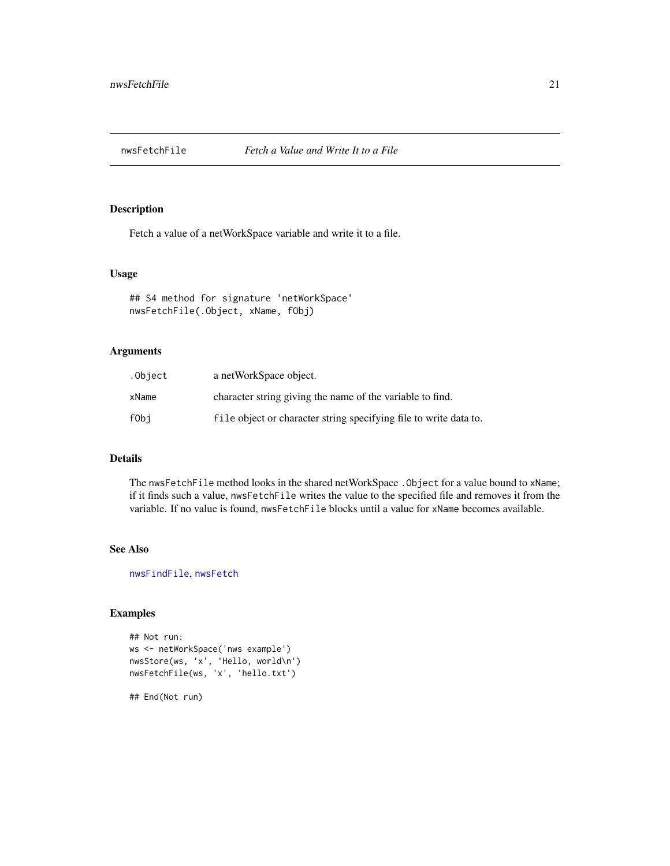<span id="page-20-1"></span><span id="page-20-0"></span>

Fetch a value of a netWorkSpace variable and write it to a file.

#### Usage

```
## S4 method for signature 'netWorkSpace'
nwsFetchFile(.Object, xName, fObj)
```
# Arguments

| .Object | a netWorkSpace object.                                            |
|---------|-------------------------------------------------------------------|
| xName   | character string giving the name of the variable to find.         |
| fObi    | file object or character string specifying file to write data to. |

# Details

The nwsFetchFile method looks in the shared netWorkSpace .Object for a value bound to xName; if it finds such a value, nwsFetchFile writes the value to the specified file and removes it from the variable. If no value is found, nwsFetchFile blocks until a value for xName becomes available.

#### See Also

[nwsFindFile](#page-23-1), [nwsFetch](#page-19-1)

# Examples

```
## Not run:
ws <- netWorkSpace('nws example')
nwsStore(ws, 'x', 'Hello, world\n')
nwsFetchFile(ws, 'x', 'hello.txt')
```
## End(Not run)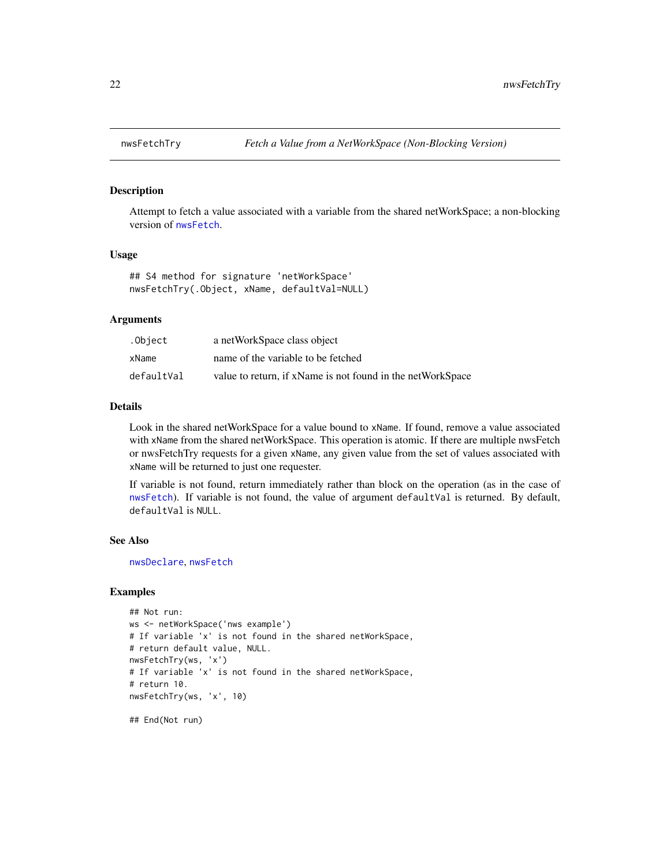<span id="page-21-1"></span><span id="page-21-0"></span>

Attempt to fetch a value associated with a variable from the shared netWorkSpace; a non-blocking version of [nwsFetch](#page-19-1).

#### Usage

```
## S4 method for signature 'netWorkSpace'
nwsFetchTry(.Object, xName, defaultVal=NULL)
```
#### Arguments

| .Object    | a netWorkSpace class object                                |
|------------|------------------------------------------------------------|
| xName      | name of the variable to be fetched                         |
| defaultVal | value to return, if xName is not found in the netWorkSpace |

#### Details

Look in the shared netWorkSpace for a value bound to xName. If found, remove a value associated with xName from the shared netWorkSpace. This operation is atomic. If there are multiple nwsFetch or nwsFetchTry requests for a given xName, any given value from the set of values associated with xName will be returned to just one requester.

If variable is not found, return immediately rather than block on the operation (as in the case of [nwsFetch](#page-19-1)). If variable is not found, the value of argument defaultVal is returned. By default, defaultVal is NULL.

#### See Also

[nwsDeclare](#page-17-1), [nwsFetch](#page-19-1)

```
## Not run:
ws <- netWorkSpace('nws example')
# If variable 'x' is not found in the shared netWorkSpace,
# return default value, NULL.
nwsFetchTry(ws, 'x')
# If variable 'x' is not found in the shared netWorkSpace,
# return 10.
nwsFetchTry(ws, 'x', 10)
```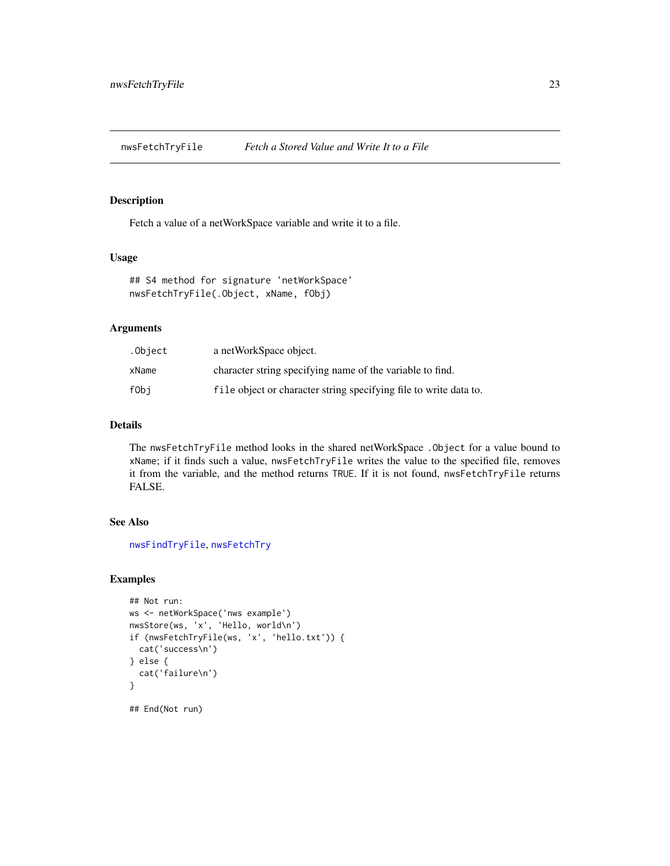<span id="page-22-1"></span><span id="page-22-0"></span>nwsFetchTryFile *Fetch a Stored Value and Write It to a File*

# Description

Fetch a value of a netWorkSpace variable and write it to a file.

# Usage

```
## S4 method for signature 'netWorkSpace'
nwsFetchTryFile(.Object, xName, fObj)
```
# Arguments

| .Object | a netWorkSpace object.                                            |
|---------|-------------------------------------------------------------------|
| xName   | character string specifying name of the variable to find.         |
| fObi    | file object or character string specifying file to write data to. |

# Details

The nwsFetchTryFile method looks in the shared netWorkSpace .Object for a value bound to xName; if it finds such a value, nwsFetchTryFile writes the value to the specified file, removes it from the variable, and the method returns TRUE. If it is not found, nwsFetchTryFile returns FALSE.

# See Also

[nwsFindTryFile](#page-25-1), [nwsFetchTry](#page-21-1)

```
## Not run:
ws <- netWorkSpace('nws example')
nwsStore(ws, 'x', 'Hello, world\n')
if (nwsFetchTryFile(ws, 'x', 'hello.txt')) {
  cat('success\n')
} else {
  cat('failure\n')
}
## End(Not run)
```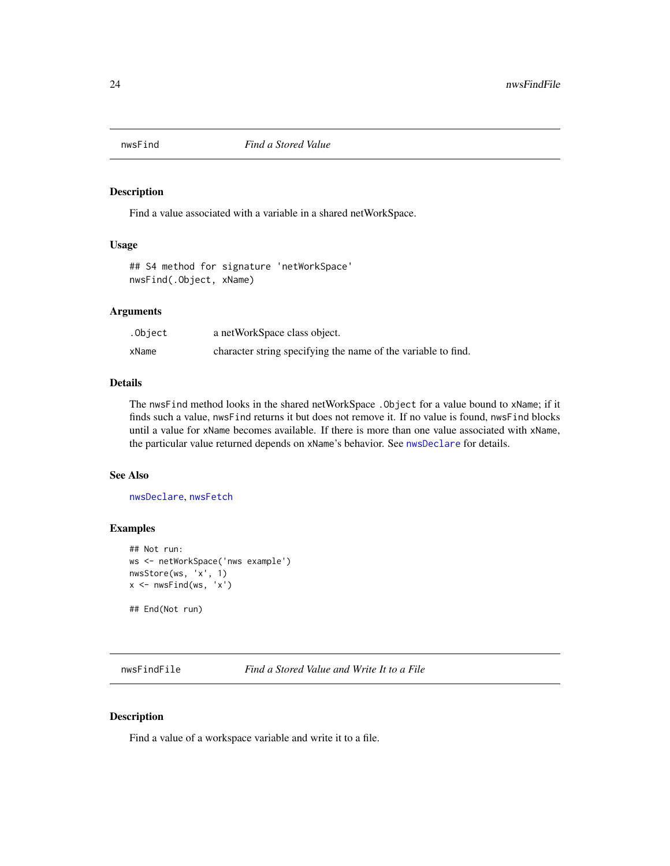<span id="page-23-2"></span><span id="page-23-0"></span>

Find a value associated with a variable in a shared netWorkSpace.

#### Usage

## S4 method for signature 'netWorkSpace' nwsFind(.Object, xName)

#### Arguments

| .Object | a netWorkSpace class object.                                  |
|---------|---------------------------------------------------------------|
| xName   | character string specifying the name of the variable to find. |

# Details

The nwsFind method looks in the shared netWorkSpace .Object for a value bound to xName; if it finds such a value, nwsFind returns it but does not remove it. If no value is found, nwsFind blocks until a value for xName becomes available. If there is more than one value associated with xName, the particular value returned depends on xName's behavior. See [nwsDeclare](#page-17-1) for details.

# See Also

[nwsDeclare](#page-17-1), [nwsFetch](#page-19-1)

# Examples

```
## Not run:
ws <- netWorkSpace('nws example')
nwsStore(ws, 'x', 1)
x \leftarrow nwsFind(ws, 'x')
```
## End(Not run)

<span id="page-23-1"></span>nwsFindFile *Find a Stored Value and Write It to a File*

# Description

Find a value of a workspace variable and write it to a file.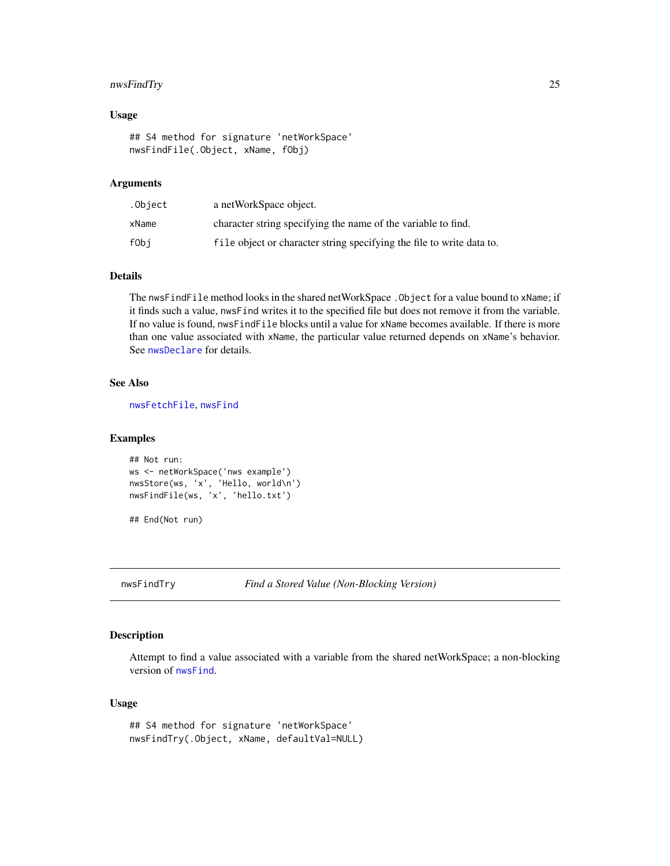# <span id="page-24-0"></span>nwsFindTry 25

# Usage

```
## S4 method for signature 'netWorkSpace'
nwsFindFile(.Object, xName, fObj)
```
#### Arguments

| .Object | a netWorkSpace object.                                                |
|---------|-----------------------------------------------------------------------|
| xName   | character string specifying the name of the variable to find.         |
| fObi    | file object or character string specifying the file to write data to. |

# Details

The nwsFindFile method looks in the shared netWorkSpace .Object for a value bound to xName; if it finds such a value, nwsFind writes it to the specified file but does not remove it from the variable. If no value is found, nwsFindFile blocks until a value for xName becomes available. If there is more than one value associated with xName, the particular value returned depends on xName's behavior. See [nwsDeclare](#page-17-1) for details.

#### See Also

[nwsFetchFile](#page-20-1), [nwsFind](#page-23-2)

# Examples

```
## Not run:
ws <- netWorkSpace('nws example')
nwsStore(ws, 'x', 'Hello, world\n')
nwsFindFile(ws, 'x', 'hello.txt')
```
## End(Not run)

<span id="page-24-1"></span>nwsFindTry *Find a Stored Value (Non-Blocking Version)*

#### Description

Attempt to find a value associated with a variable from the shared netWorkSpace; a non-blocking version of [nwsFind](#page-23-2).

#### Usage

```
## S4 method for signature 'netWorkSpace'
nwsFindTry(.Object, xName, defaultVal=NULL)
```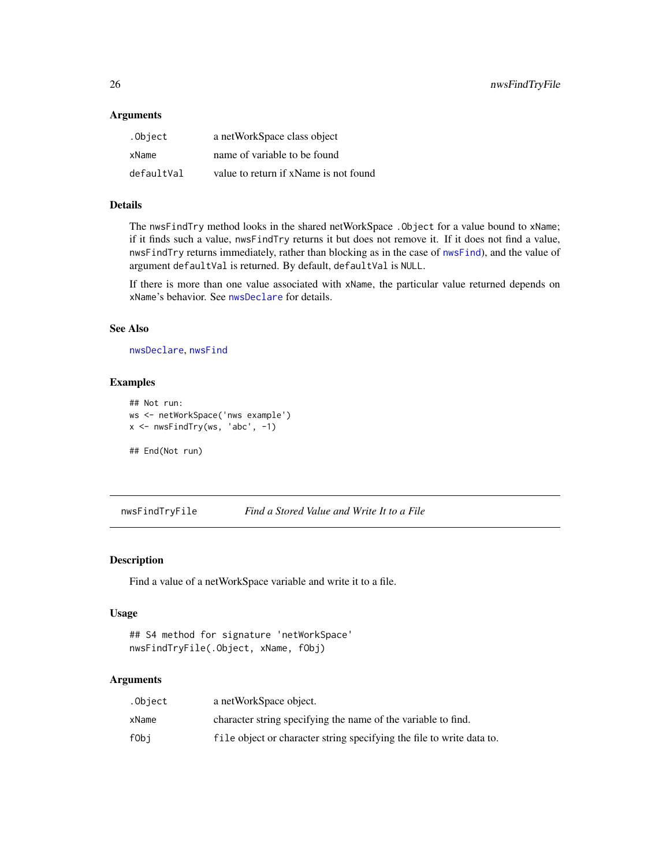# <span id="page-25-0"></span>Arguments

| .Object    | a netWorkSpace class object           |
|------------|---------------------------------------|
| xName      | name of variable to be found          |
| defaultVal | value to return if xName is not found |

# Details

The nwsFindTry method looks in the shared netWorkSpace .Object for a value bound to xName; if it finds such a value, nwsFindTry returns it but does not remove it. If it does not find a value, nwsFindTry returns immediately, rather than blocking as in the case of [nwsFind](#page-23-2)), and the value of argument defaultVal is returned. By default, defaultVal is NULL.

If there is more than one value associated with xName, the particular value returned depends on xName's behavior. See [nwsDeclare](#page-17-1) for details.

#### See Also

[nwsDeclare](#page-17-1), [nwsFind](#page-23-2)

# Examples

```
## Not run:
ws <- netWorkSpace('nws example')
x <- nwsFindTry(ws, 'abc', -1)
```
## End(Not run)

<span id="page-25-1"></span>nwsFindTryFile *Find a Stored Value and Write It to a File*

# Description

Find a value of a netWorkSpace variable and write it to a file.

# Usage

```
## S4 method for signature 'netWorkSpace'
nwsFindTryFile(.Object, xName, fObj)
```
# Arguments

| .Object | a netWorkSpace object.                                                |
|---------|-----------------------------------------------------------------------|
| xName   | character string specifying the name of the variable to find.         |
| fObi    | file object or character string specifying the file to write data to. |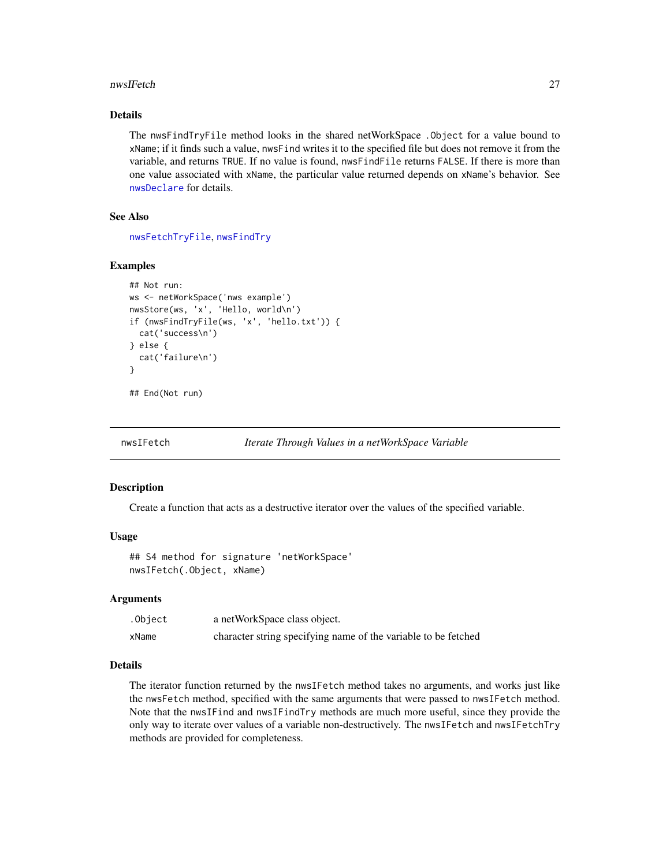#### <span id="page-26-0"></span>nwsIFetch 27

# Details

The nwsFindTryFile method looks in the shared netWorkSpace .Object for a value bound to xName; if it finds such a value, nwsFind writes it to the specified file but does not remove it from the variable, and returns TRUE. If no value is found, nwsFindFile returns FALSE. If there is more than one value associated with xName, the particular value returned depends on xName's behavior. See [nwsDeclare](#page-17-1) for details.

# See Also

[nwsFetchTryFile](#page-22-1), [nwsFindTry](#page-24-1)

#### Examples

```
## Not run:
ws <- netWorkSpace('nws example')
nwsStore(ws, 'x', 'Hello, world\n')
if (nwsFindTryFile(ws, 'x', 'hello.txt')) {
  cat('success\n')
} else {
  cat('failure\n')
}
## End(Not run)
```
<span id="page-26-1"></span>

```
nwsIFetch Iterate Through Values in a netWorkSpace Variable
```
#### Description

Create a function that acts as a destructive iterator over the values of the specified variable.

#### Usage

```
## S4 method for signature 'netWorkSpace'
nwsIFetch(.Object, xName)
```
#### Arguments

| .Object | a netWorkSpace class object.                                   |
|---------|----------------------------------------------------------------|
| xName   | character string specifying name of the variable to be fetched |

#### Details

The iterator function returned by the nwsIFetch method takes no arguments, and works just like the nwsFetch method, specified with the same arguments that were passed to nwsIFetch method. Note that the nwsIFind and nwsIFindTry methods are much more useful, since they provide the only way to iterate over values of a variable non-destructively. The nwsIFetch and nwsIFetchTry methods are provided for completeness.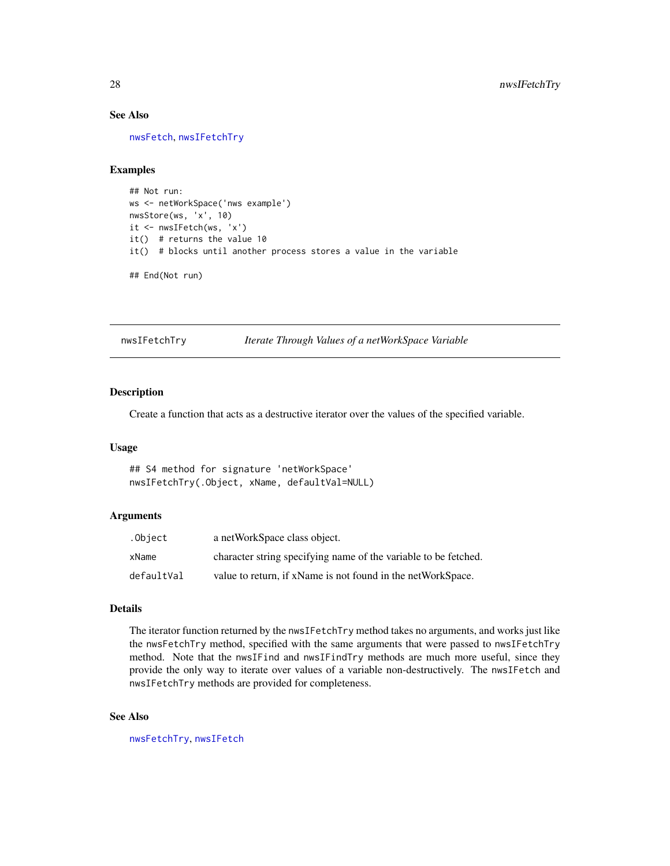# See Also

[nwsFetch](#page-19-1), [nwsIFetchTry](#page-27-1)

#### Examples

```
## Not run:
ws <- netWorkSpace('nws example')
nwsStore(ws, 'x', 10)
it <- nwsIFetch(ws, 'x')
it() # returns the value 10
it() # blocks until another process stores a value in the variable
```
## End(Not run)

<span id="page-27-1"></span>nwsIFetchTry *Iterate Through Values of a netWorkSpace Variable*

# Description

Create a function that acts as a destructive iterator over the values of the specified variable.

#### Usage

## S4 method for signature 'netWorkSpace' nwsIFetchTry(.Object, xName, defaultVal=NULL)

# Arguments

| .Object    | a netWorkSpace class object.                                    |
|------------|-----------------------------------------------------------------|
| xName      | character string specifying name of the variable to be fetched. |
| defaultVal | value to return, if xName is not found in the netWorkSpace.     |

### Details

The iterator function returned by the nwsIFetchTry method takes no arguments, and works just like the nwsFetchTry method, specified with the same arguments that were passed to nwsIFetchTry method. Note that the nwsIFind and nwsIFindTry methods are much more useful, since they provide the only way to iterate over values of a variable non-destructively. The nwsIFetch and nwsIFetchTry methods are provided for completeness.

# See Also

[nwsFetchTry](#page-21-1), [nwsIFetch](#page-26-1)

<span id="page-27-0"></span>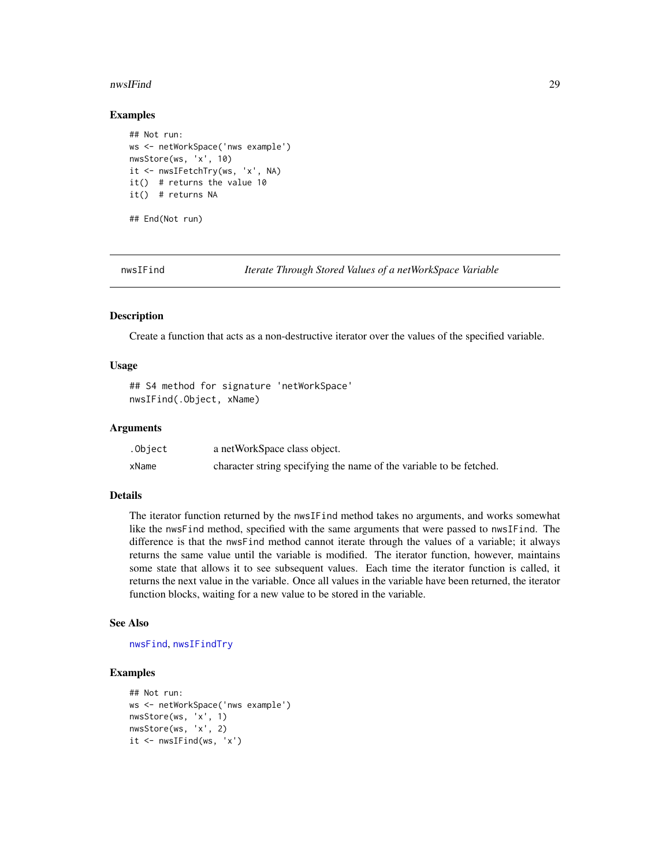#### <span id="page-28-0"></span>nwsIFind 29

#### Examples

```
## Not run:
ws <- netWorkSpace('nws example')
nwsStore(ws, 'x', 10)
it <- nwsIFetchTry(ws, 'x', NA)
it() # returns the value 10
it() # returns NA
## End(Not run)
```
<span id="page-28-1"></span>

nwsIFind *Iterate Through Stored Values of a netWorkSpace Variable*

#### Description

Create a function that acts as a non-destructive iterator over the values of the specified variable.

# Usage

```
## S4 method for signature 'netWorkSpace'
nwsIFind(.Object, xName)
```
#### Arguments

| .Object | a netWorkSpace class object.                                        |
|---------|---------------------------------------------------------------------|
| xName   | character string specifying the name of the variable to be fetched. |

# Details

The iterator function returned by the nwsIFind method takes no arguments, and works somewhat like the nwsFind method, specified with the same arguments that were passed to nwsIFind. The difference is that the nwsFind method cannot iterate through the values of a variable; it always returns the same value until the variable is modified. The iterator function, however, maintains some state that allows it to see subsequent values. Each time the iterator function is called, it returns the next value in the variable. Once all values in the variable have been returned, the iterator function blocks, waiting for a new value to be stored in the variable.

#### See Also

[nwsFind](#page-23-2), [nwsIFindTry](#page-29-1)

```
## Not run:
ws <- netWorkSpace('nws example')
nwsStore(ws, 'x', 1)
nwsStore(ws, 'x', 2)
it \leftarrow nwsIFind(ws, 'x')
```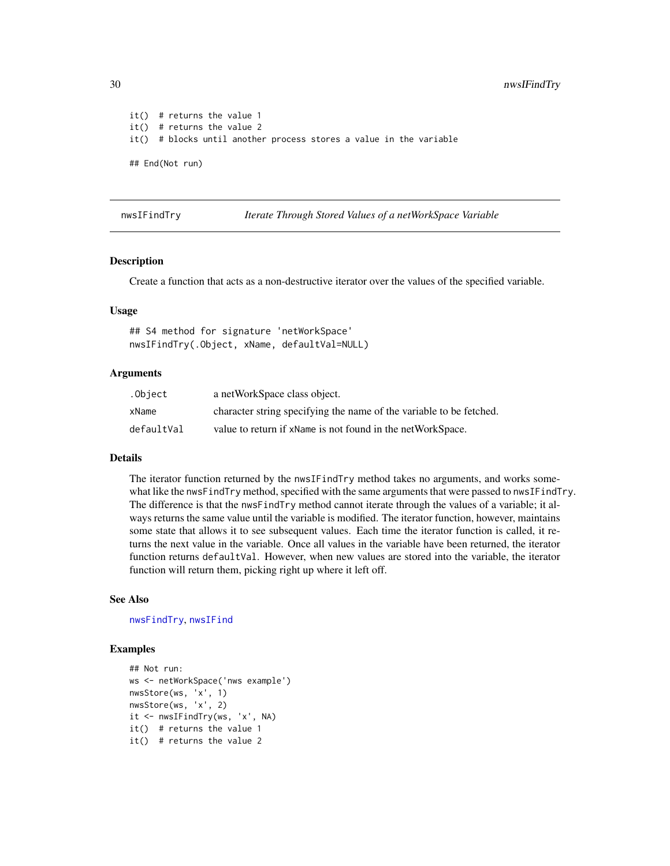```
it() # returns the value 1
it() # returns the value 2
it() # blocks until another process stores a value in the variable
## End(Not run)
```
<span id="page-29-1"></span>nwsIFindTry *Iterate Through Stored Values of a netWorkSpace Variable*

#### Description

Create a function that acts as a non-destructive iterator over the values of the specified variable.

#### Usage

## S4 method for signature 'netWorkSpace' nwsIFindTry(.Object, xName, defaultVal=NULL)

# Arguments

| .Object    | a netWorkSpace class object.                                        |
|------------|---------------------------------------------------------------------|
| xName      | character string specifying the name of the variable to be fetched. |
| defaultVal | value to return if xName is not found in the netWorkSpace.          |

#### Details

The iterator function returned by the nwsIFindTry method takes no arguments, and works somewhat like the nwsFindTry method, specified with the same arguments that were passed to nwsIFindTry. The difference is that the nwsFindTry method cannot iterate through the values of a variable; it always returns the same value until the variable is modified. The iterator function, however, maintains some state that allows it to see subsequent values. Each time the iterator function is called, it returns the next value in the variable. Once all values in the variable have been returned, the iterator function returns defaultVal. However, when new values are stored into the variable, the iterator function will return them, picking right up where it left off.

#### See Also

[nwsFindTry](#page-24-1), [nwsIFind](#page-28-1)

```
## Not run:
ws <- netWorkSpace('nws example')
nwsStore(ws, 'x', 1)
nwsStore(ws, 'x', 2)
it <- nwsIFindTry(ws, 'x', NA)
it() # returns the value 1
it() # returns the value 2
```
<span id="page-29-0"></span>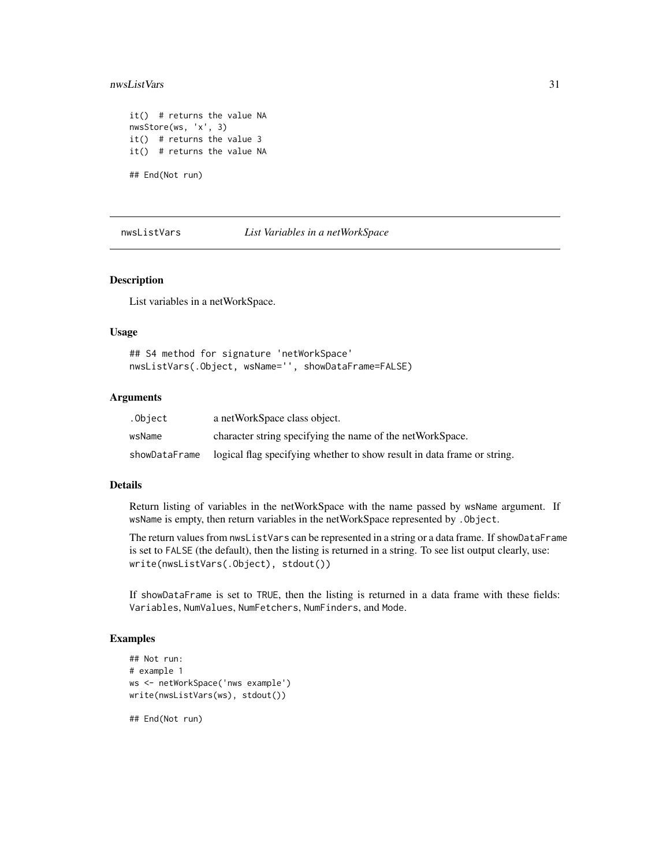#### <span id="page-30-0"></span>nwsListVars 31

```
it() # returns the value NA
nwsStore(ws, 'x', 3)
it() # returns the value 3
it() # returns the value NA
## End(Not run)
```
nwsListVars *List Variables in a netWorkSpace*

#### Description

List variables in a netWorkSpace.

#### Usage

## S4 method for signature 'netWorkSpace' nwsListVars(.Object, wsName='', showDataFrame=FALSE)

# Arguments

| .Object       | a netWorkSpace class object.                                            |
|---------------|-------------------------------------------------------------------------|
| wsName        | character string specifying the name of the netWorkSpace.               |
| showDataFrame | logical flag specifying whether to show result in data frame or string. |

#### Details

Return listing of variables in the netWorkSpace with the name passed by wsName argument. If wsName is empty, then return variables in the netWorkSpace represented by .Object.

The return values from nwsListVars can be represented in a string or a data frame. If showDataFrame is set to FALSE (the default), then the listing is returned in a string. To see list output clearly, use: write(nwsListVars(.Object), stdout())

If showDataFrame is set to TRUE, then the listing is returned in a data frame with these fields: Variables, NumValues, NumFetchers, NumFinders, and Mode.

# Examples

```
## Not run:
# example 1
ws <- netWorkSpace('nws example')
write(nwsListVars(ws), stdout())
```
## End(Not run)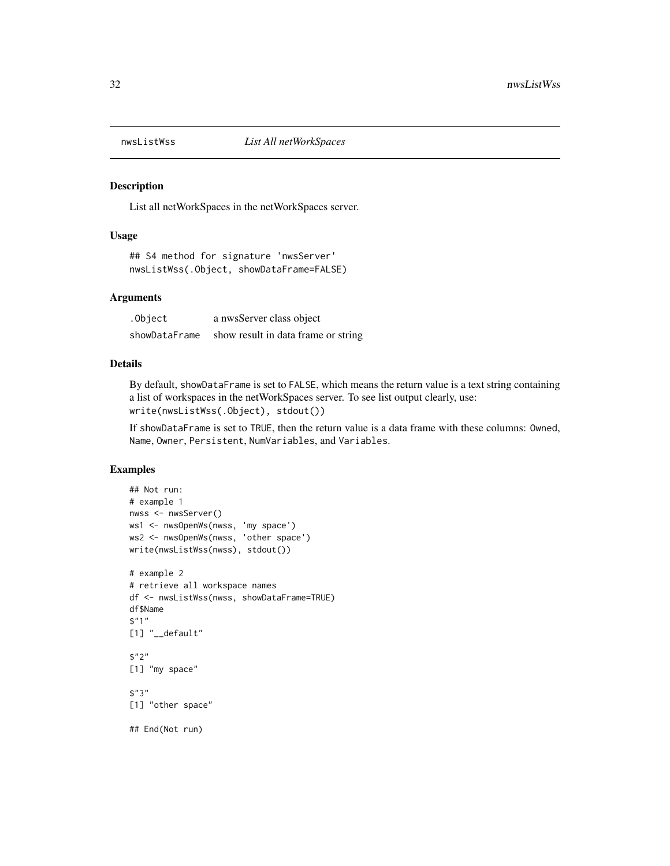<span id="page-31-0"></span>

List all netWorkSpaces in the netWorkSpaces server.

# Usage

## S4 method for signature 'nwsServer' nwsListWss(.Object, showDataFrame=FALSE)

#### Arguments

| .Object       | a nwsServer class object            |
|---------------|-------------------------------------|
| showDataFrame | show result in data frame or string |

#### Details

By default, showDataFrame is set to FALSE, which means the return value is a text string containing a list of workspaces in the netWorkSpaces server. To see list output clearly, use: write(nwsListWss(.Object), stdout())

If showDataFrame is set to TRUE, then the return value is a data frame with these columns: Owned, Name, Owner, Persistent, NumVariables, and Variables.

```
## Not run:
# example 1
nwss <- nwsServer()
ws1 <- nwsOpenWs(nwss, 'my space')
ws2 <- nwsOpenWs(nwss, 'other space')
write(nwsListWss(nwss), stdout())
# example 2
# retrieve all workspace names
df <- nwsListWss(nwss, showDataFrame=TRUE)
df$Name
$"1"
[1] "__default"
$"2"
[1] "my space"
$"3"
[1] "other space"
## End(Not run)
```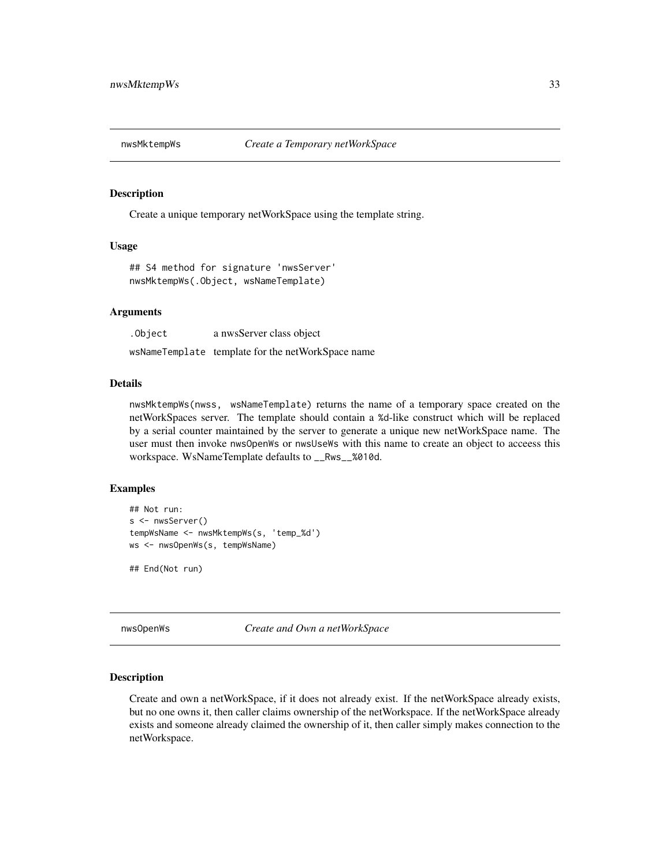<span id="page-32-0"></span>

Create a unique temporary netWorkSpace using the template string.

# Usage

## S4 method for signature 'nwsServer' nwsMktempWs(.Object, wsNameTemplate)

# Arguments

| .Object | a nwsServer class object                          |
|---------|---------------------------------------------------|
|         | wsNameTemplate template for the netWorkSpace name |

#### Details

nwsMktempWs(nwss, wsNameTemplate) returns the name of a temporary space created on the netWorkSpaces server. The template should contain a %d-like construct which will be replaced by a serial counter maintained by the server to generate a unique new netWorkSpace name. The user must then invoke nwsOpenWs or nwsUseWs with this name to create an object to acceess this workspace. WsNameTemplate defaults to \_\_Rws\_\_%010d.

# Examples

```
## Not run:
s <- nwsServer()
tempWsName <- nwsMktempWs(s, 'temp_%d')
ws <- nwsOpenWs(s, tempWsName)
## End(Not run)
```
<span id="page-32-1"></span>nwsOpenWs *Create and Own a netWorkSpace*

#### Description

Create and own a netWorkSpace, if it does not already exist. If the netWorkSpace already exists, but no one owns it, then caller claims ownership of the netWorkspace. If the netWorkSpace already exists and someone already claimed the ownership of it, then caller simply makes connection to the netWorkspace.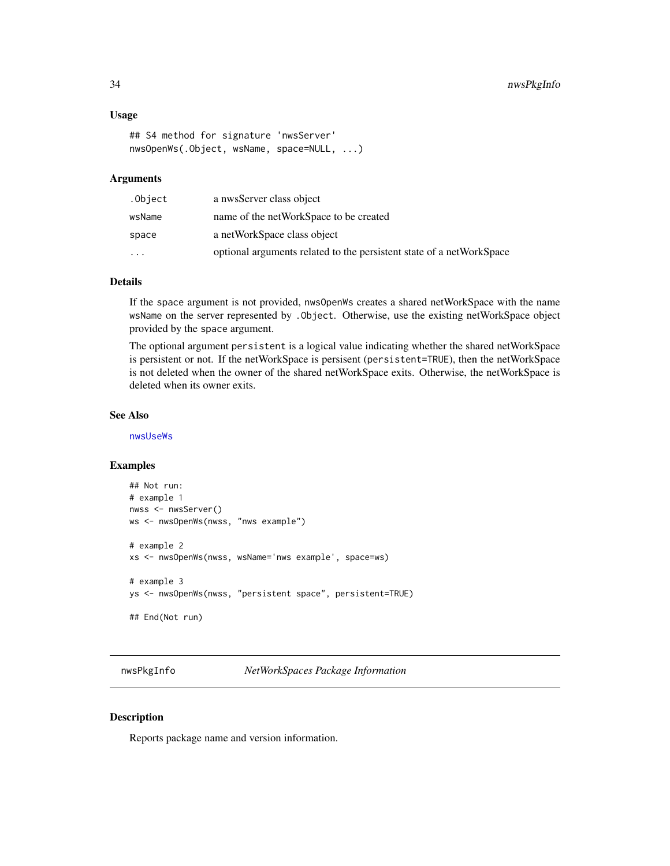#### Usage

```
## S4 method for signature 'nwsServer'
nwsOpenWs(.Object, wsName, space=NULL, ...)
```
#### Arguments

| .Object   | a nwsServer class object                                             |
|-----------|----------------------------------------------------------------------|
| wsName    | name of the netWorkSpace to be created                               |
| space     | a netWorkSpace class object                                          |
| $\ddotsc$ | optional arguments related to the persistent state of a netWorkSpace |

# Details

If the space argument is not provided, nwsOpenWs creates a shared netWorkSpace with the name wsName on the server represented by .Object. Otherwise, use the existing netWorkSpace object provided by the space argument.

The optional argument persistent is a logical value indicating whether the shared netWorkSpace is persistent or not. If the netWorkSpace is persisent (persistent=TRUE), then the netWorkSpace is not deleted when the owner of the shared netWorkSpace exits. Otherwise, the netWorkSpace is deleted when its owner exits.

# See Also

[nwsUseWs](#page-38-1)

# Examples

```
## Not run:
# example 1
nwss <- nwsServer()
ws <- nwsOpenWs(nwss, "nws example")
# example 2
xs <- nwsOpenWs(nwss, wsName='nws example', space=ws)
# example 3
ys <- nwsOpenWs(nwss, "persistent space", persistent=TRUE)
## End(Not run)
```
nwsPkgInfo *NetWorkSpaces Package Information*

# Description

Reports package name and version information.

<span id="page-33-0"></span>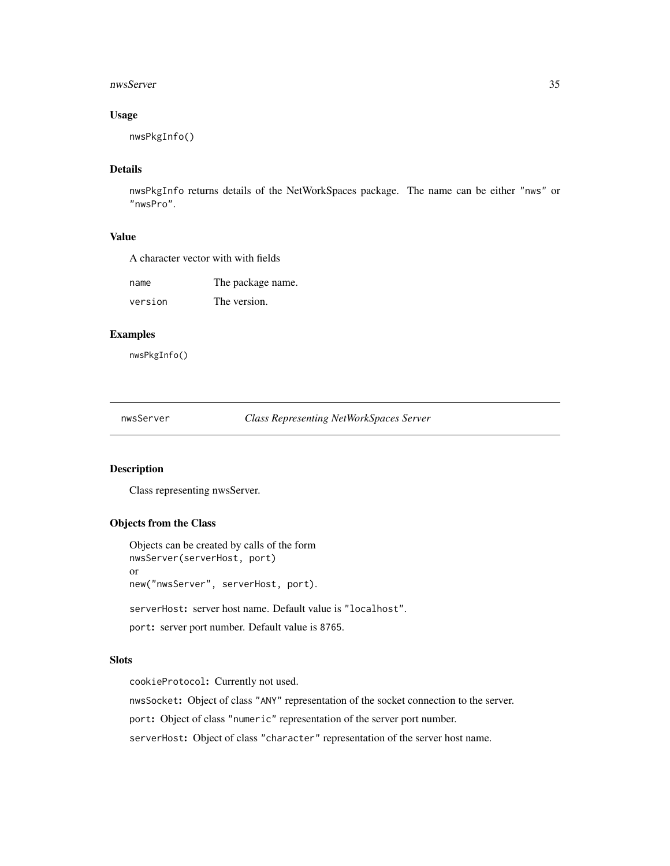#### <span id="page-34-0"></span>nwsServer 35

# Usage

nwsPkgInfo()

# Details

nwsPkgInfo returns details of the NetWorkSpaces package. The name can be either "nws" or "nwsPro".

#### Value

A character vector with with fields

| name    | The package name. |
|---------|-------------------|
| version | The version.      |

#### Examples

nwsPkgInfo()

nwsServer *Class Representing NetWorkSpaces Server*

# Description

Class representing nwsServer.

# Objects from the Class

Objects can be created by calls of the form nwsServer(serverHost, port) or new("nwsServer", serverHost, port).

serverHost: server host name. Default value is "localhost".

port: server port number. Default value is 8765.

#### Slots

cookieProtocol: Currently not used.

nwsSocket: Object of class "ANY" representation of the socket connection to the server.

port: Object of class "numeric" representation of the server port number.

serverHost: Object of class "character" representation of the server host name.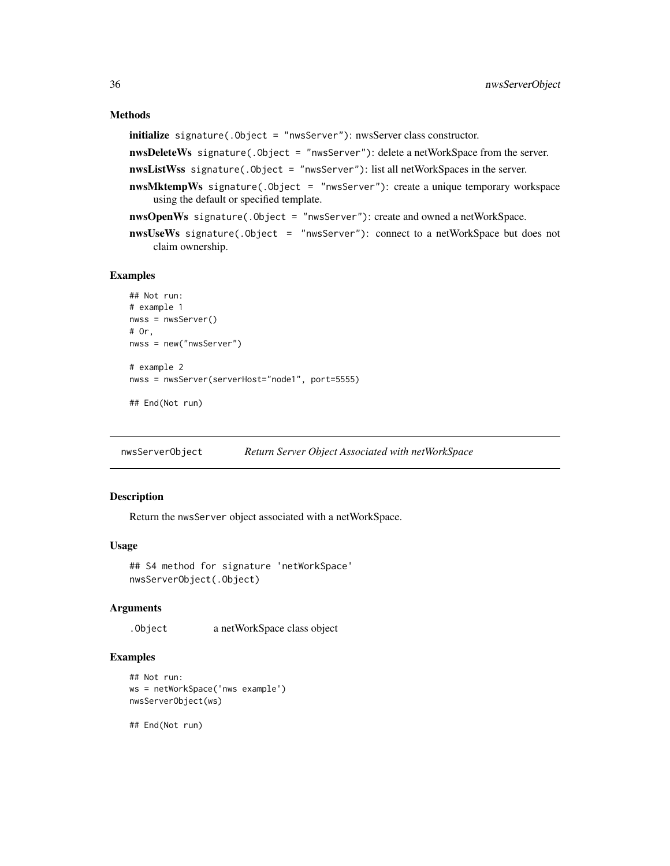# <span id="page-35-0"></span>Methods

initialize signature(.Object = "nwsServer"): nwsServer class constructor.

nwsDeleteWs signature(.Object = "nwsServer"): delete a netWorkSpace from the server.

- nwsListWss signature(.Object = "nwsServer"): list all netWorkSpaces in the server.
- nwsMktempWs signature(.Object = "nwsServer"): create a unique temporary workspace using the default or specified template.
- nwsOpenWs signature(.Object = "nwsServer"): create and owned a netWorkSpace.
- nwsUseWs signature(.Object = "nwsServer"): connect to a netWorkSpace but does not claim ownership.

#### Examples

```
## Not run:
# example 1
nwss = nwsServer()
# Or,
nwss = new("nwsServer")
# example 2
nwss = nwsServer(serverHost="node1", port=5555)
```
## End(Not run)

nwsServerObject *Return Server Object Associated with netWorkSpace*

#### Description

Return the nwsServer object associated with a netWorkSpace.

#### Usage

```
## S4 method for signature 'netWorkSpace'
nwsServerObject(.Object)
```
#### Arguments

.Object a netWorkSpace class object

#### Examples

```
## Not run:
ws = netWorkSpace('nws example')
nwsServerObject(ws)
```
## End(Not run)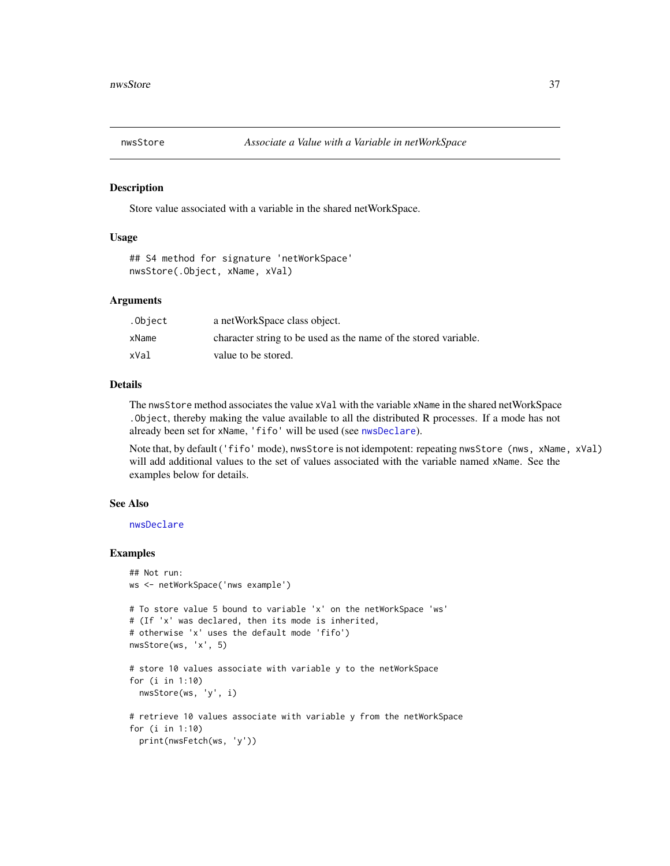<span id="page-36-1"></span><span id="page-36-0"></span>

Store value associated with a variable in the shared netWorkSpace.

#### Usage

```
## S4 method for signature 'netWorkSpace'
nwsStore(.Object, xName, xVal)
```
#### **Arguments**

| .Object | a netWorkSpace class object.                                    |
|---------|-----------------------------------------------------------------|
| xName   | character string to be used as the name of the stored variable. |
| xVal    | value to be stored.                                             |

# Details

The nwsStore method associates the value xVal with the variable xName in the shared netWorkSpace .Object, thereby making the value available to all the distributed R processes. If a mode has not already been set for xName, 'fifo' will be used (see [nwsDeclare](#page-17-1)).

Note that, by default ('fifo' mode), nwsStore is not idempotent: repeating nwsStore (nws, xName, xVal) will add additional values to the set of values associated with the variable named xName. See the examples below for details.

# See Also

[nwsDeclare](#page-17-1)

```
## Not run:
ws <- netWorkSpace('nws example')
# To store value 5 bound to variable 'x' on the netWorkSpace 'ws'
# (If 'x' was declared, then its mode is inherited,
# otherwise 'x' uses the default mode 'fifo')
nwsStore(ws, 'x', 5)
# store 10 values associate with variable y to the netWorkSpace
for (i in 1:10)
  nwsStore(ws, 'y', i)
# retrieve 10 values associate with variable y from the netWorkSpace
for (i in 1:10)
  print(nwsFetch(ws, 'y'))
```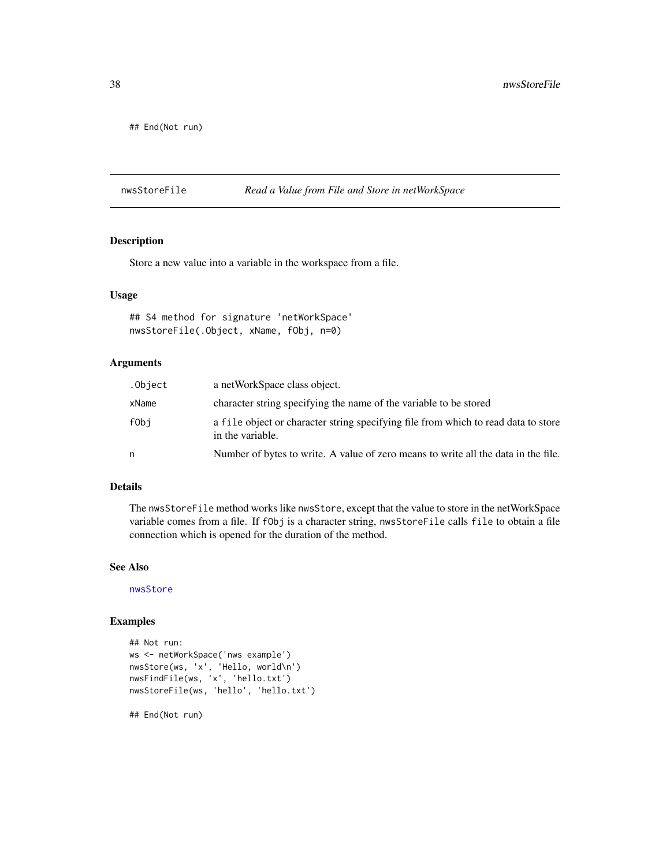<span id="page-37-0"></span>## End(Not run)

nwsStoreFile *Read a Value from File and Store in netWorkSpace*

# Description

Store a new value into a variable in the workspace from a file.

# Usage

```
## S4 method for signature 'netWorkSpace'
nwsStoreFile(.Object, xName, fObj, n=0)
```
#### Arguments

| .Object | a netWorkSpace class object.                                                                           |
|---------|--------------------------------------------------------------------------------------------------------|
| xName   | character string specifying the name of the variable to be stored                                      |
| fObi    | a file object or character string specifying file from which to read data to store<br>in the variable. |
| n       | Number of bytes to write. A value of zero means to write all the data in the file.                     |

# Details

The nwsStoreFile method works like nwsStore, except that the value to store in the netWorkSpace variable comes from a file. If fObj is a character string, nwsStoreFile calls file to obtain a file connection which is opened for the duration of the method.

#### See Also

[nwsStore](#page-36-1)

# Examples

```
## Not run:
ws <- netWorkSpace('nws example')
nwsStore(ws, 'x', 'Hello, world\n')
nwsFindFile(ws, 'x', 'hello.txt')
nwsStoreFile(ws, 'hello', 'hello.txt')
```
## End(Not run)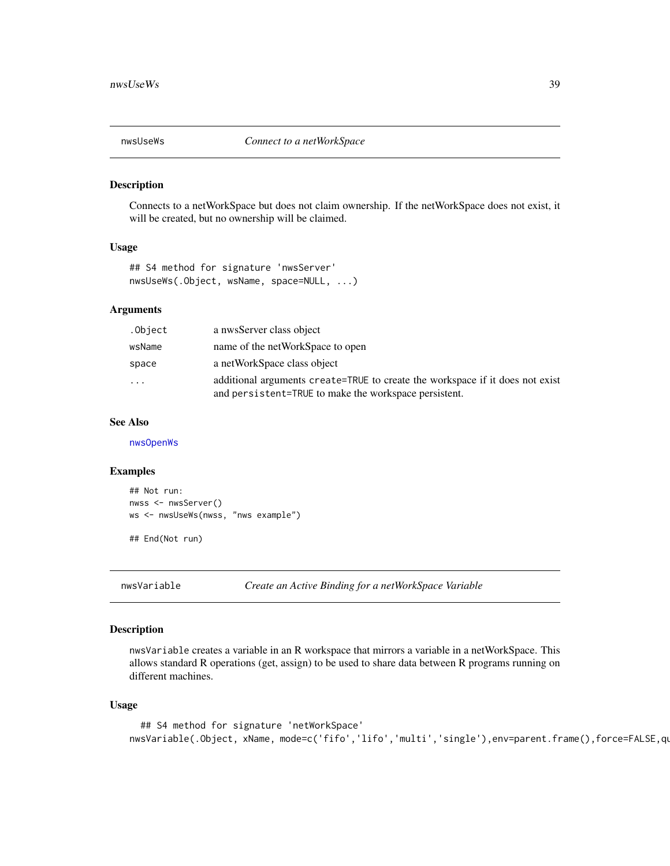<span id="page-38-1"></span><span id="page-38-0"></span>

Connects to a netWorkSpace but does not claim ownership. If the netWorkSpace does not exist, it will be created, but no ownership will be claimed.

#### Usage

```
## S4 method for signature 'nwsServer'
nwsUseWs(.Object, wsName, space=NULL, ...)
```
# Arguments

| .Object | a nwsServer class object                                                                                                               |
|---------|----------------------------------------------------------------------------------------------------------------------------------------|
| wsName  | name of the netWorkSpace to open                                                                                                       |
| space   | a netWorkSpace class object                                                                                                            |
| .       | additional arguments create=TRUE to create the workspace if it does not exist<br>and persistent=TRUE to make the workspace persistent. |

# See Also

[nwsOpenWs](#page-32-1)

#### Examples

```
## Not run:
nwss <- nwsServer()
ws <- nwsUseWs(nwss, "nws example")
```
## End(Not run)

nwsVariable *Create an Active Binding for a netWorkSpace Variable*

#### Description

nwsVariable creates a variable in an R workspace that mirrors a variable in a netWorkSpace. This allows standard R operations (get, assign) to be used to share data between R programs running on different machines.

# Usage

```
## S4 method for signature 'netWorkSpace'
nwsVariable(.Object, xName, mode=c('fifo','lifo','multi','single'),env=parent.frame(),force=FALSE,qu
```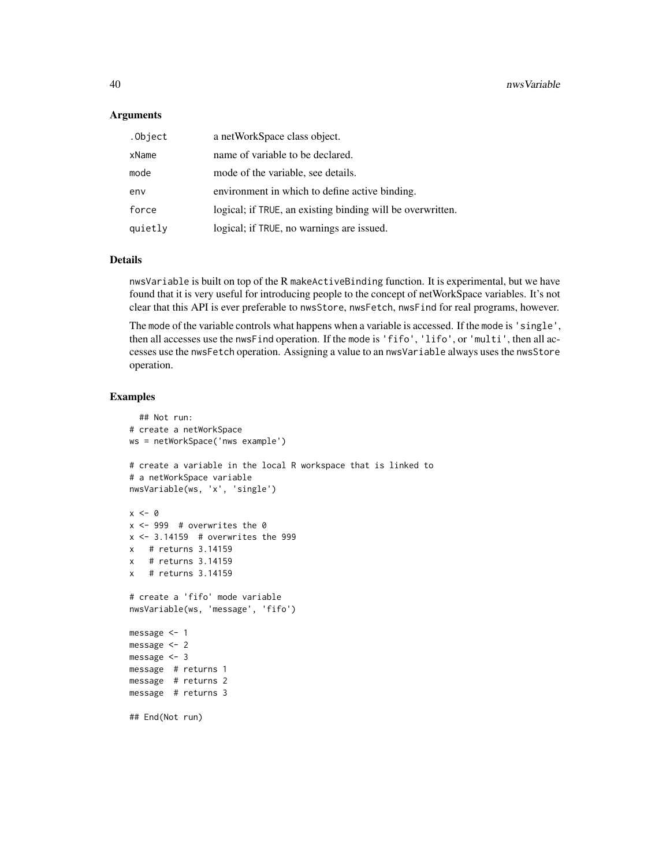#### **Arguments**

| .Object | a netWorkSpace class object.                               |
|---------|------------------------------------------------------------|
| xName   | name of variable to be declared.                           |
| mode    | mode of the variable, see details.                         |
| env     | environment in which to define active binding.             |
| force   | logical; if TRUE, an existing binding will be overwritten. |
| quietly | logical; if TRUE, no warnings are issued.                  |

# Details

nwsVariable is built on top of the R makeActiveBinding function. It is experimental, but we have found that it is very useful for introducing people to the concept of netWorkSpace variables. It's not clear that this API is ever preferable to nwsStore, nwsFetch, nwsFind for real programs, however.

The mode of the variable controls what happens when a variable is accessed. If the mode is 'single', then all accesses use the nwsFind operation. If the mode is 'fifo', 'lifo', or 'multi', then all accesses use the nwsFetch operation. Assigning a value to an nwsVariable always uses the nwsStore operation.

```
## Not run:
# create a netWorkSpace
ws = netWorkSpace('nws example')
# create a variable in the local R workspace that is linked to
# a netWorkSpace variable
nwsVariable(ws, 'x', 'single')
x < - \thetax <- 999 # overwrites the 0
x \le -3.14159 # overwrites the 999
x # returns 3.14159
x # returns 3.14159
x # returns 3.14159
# create a 'fifo' mode variable
nwsVariable(ws, 'message', 'fifo')
message <- 1
message <- 2
message <- 3
message # returns 1
message # returns 2
message # returns 3
## End(Not run)
```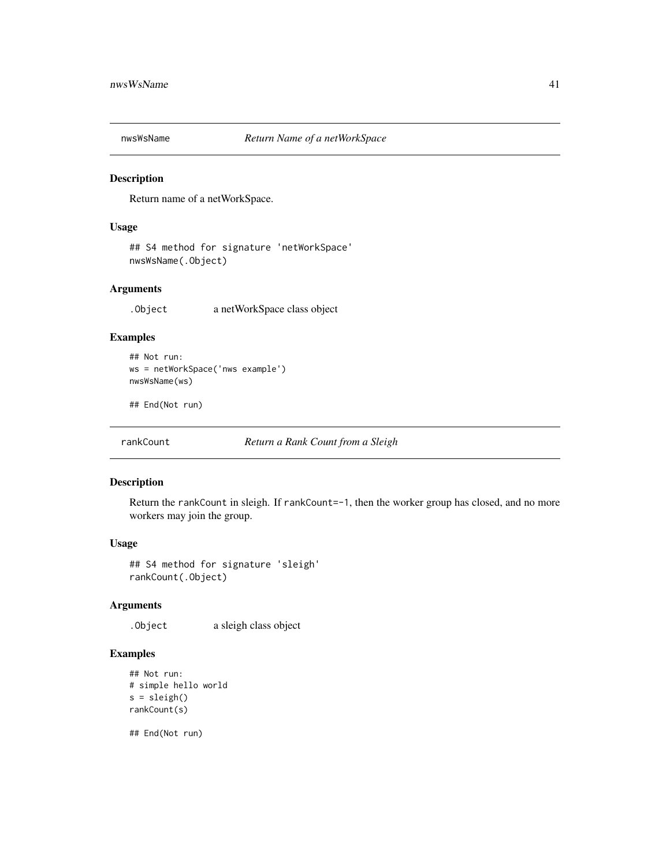<span id="page-40-0"></span>

Return name of a netWorkSpace.

# Usage

## S4 method for signature 'netWorkSpace' nwsWsName(.Object)

# Arguments

.Object a netWorkSpace class object

# Examples

```
## Not run:
ws = netWorkSpace('nws example')
nwsWsName(ws)
```
## End(Not run)

rankCount *Return a Rank Count from a Sleigh*

#### Description

Return the rankCount in sleigh. If rankCount=-1, then the worker group has closed, and no more workers may join the group.

# Usage

## S4 method for signature 'sleigh' rankCount(.Object)

# Arguments

.Object a sleigh class object

# Examples

```
## Not run:
# simple hello world
s = sleigh()
rankCount(s)
```
## End(Not run)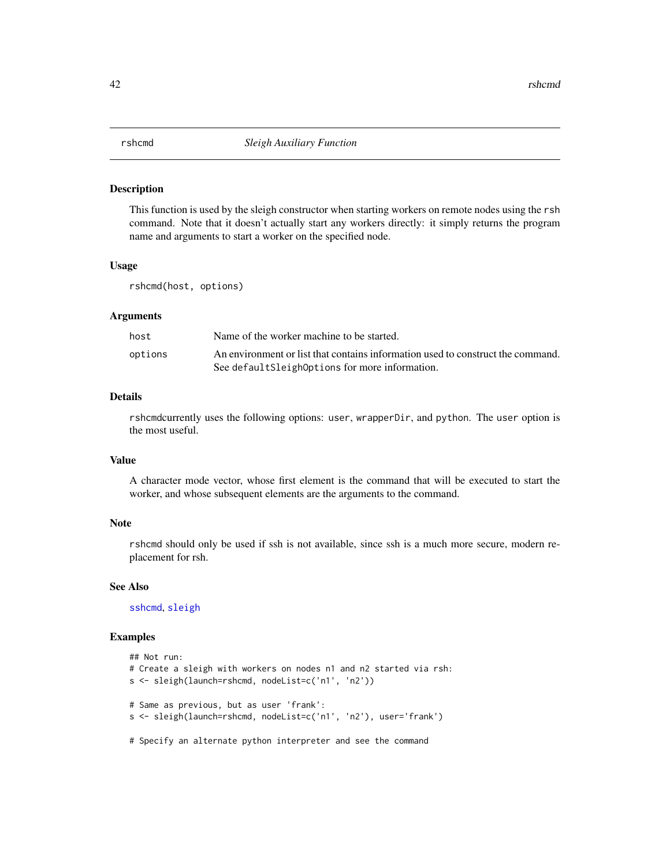<span id="page-41-0"></span>This function is used by the sleigh constructor when starting workers on remote nodes using the rsh command. Note that it doesn't actually start any workers directly: it simply returns the program name and arguments to start a worker on the specified node.

#### Usage

rshcmd(host, options)

#### **Arguments**

| host    | Name of the worker machine to be started.                                       |
|---------|---------------------------------------------------------------------------------|
| options | An environment or list that contains information used to construct the command. |
|         | See default Sleigh Options for more information.                                |

# Details

rshcmdcurrently uses the following options: user, wrapperDir, and python. The user option is the most useful.

# Value

A character mode vector, whose first element is the command that will be executed to start the worker, and whose subsequent elements are the arguments to the command.

#### Note

rshcmd should only be used if ssh is not available, since ssh is a much more secure, modern replacement for rsh.

#### See Also

[sshcmd](#page-45-1), [sleigh](#page-42-1)

```
## Not run:
# Create a sleigh with workers on nodes n1 and n2 started via rsh:
s <- sleigh(launch=rshcmd, nodeList=c('n1', 'n2'))
# Same as previous, but as user 'frank':
s <- sleigh(launch=rshcmd, nodeList=c('n1', 'n2'), user='frank')
# Specify an alternate python interpreter and see the command
```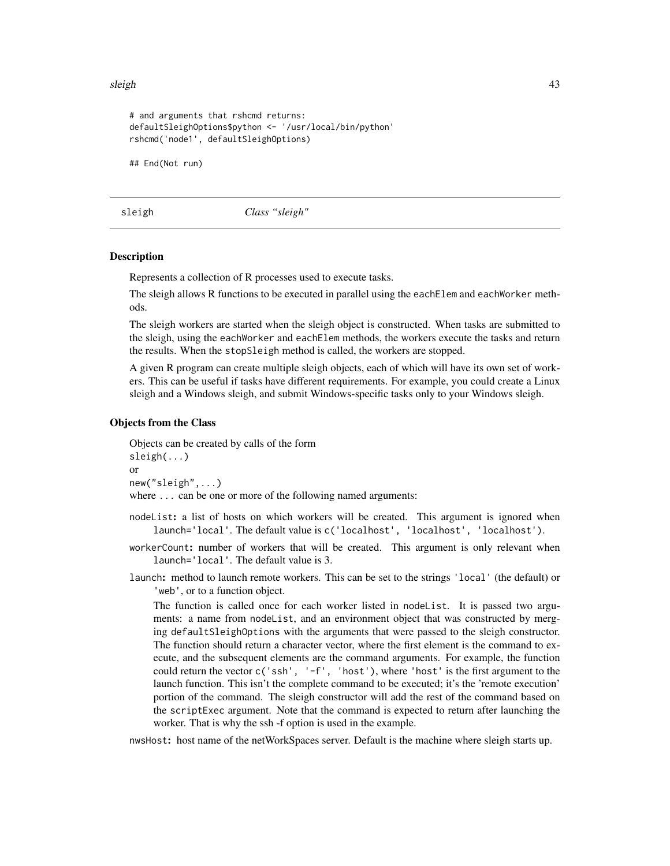<span id="page-42-0"></span>sleigh 43

```
# and arguments that rshcmd returns:
defaultSleighOptions$python <- '/usr/local/bin/python'
rshcmd('node1', defaultSleighOptions)
## End(Not run)
```
<span id="page-42-1"></span>sleigh *Class "sleigh"*

#### Description

Represents a collection of R processes used to execute tasks.

The sleigh allows R functions to be executed in parallel using the each Elem and each Worker methods.

The sleigh workers are started when the sleigh object is constructed. When tasks are submitted to the sleigh, using the eachWorker and eachElem methods, the workers execute the tasks and return the results. When the stopSleigh method is called, the workers are stopped.

A given R program can create multiple sleigh objects, each of which will have its own set of workers. This can be useful if tasks have different requirements. For example, you could create a Linux sleigh and a Windows sleigh, and submit Windows-specific tasks only to your Windows sleigh.

#### Objects from the Class

Objects can be created by calls of the form sleigh(...) or new("sleigh",...) where ... can be one or more of the following named arguments:

- nodeList: a list of hosts on which workers will be created. This argument is ignored when launch='local'. The default value is c('localhost', 'localhost', 'localhost').
- workerCount: number of workers that will be created. This argument is only relevant when launch='local'. The default value is 3.
- launch: method to launch remote workers. This can be set to the strings 'local' (the default) or 'web', or to a function object.

The function is called once for each worker listed in nodeList. It is passed two arguments: a name from nodeList, and an environment object that was constructed by merging defaultSleighOptions with the arguments that were passed to the sleigh constructor. The function should return a character vector, where the first element is the command to execute, and the subsequent elements are the command arguments. For example, the function could return the vector  $c('ssh', 'f', 'host'),$  where 'host' is the first argument to the launch function. This isn't the complete command to be executed; it's the 'remote execution' portion of the command. The sleigh constructor will add the rest of the command based on the scriptExec argument. Note that the command is expected to return after launching the worker. That is why the ssh -f option is used in the example.

nwsHost: host name of the netWorkSpaces server. Default is the machine where sleigh starts up.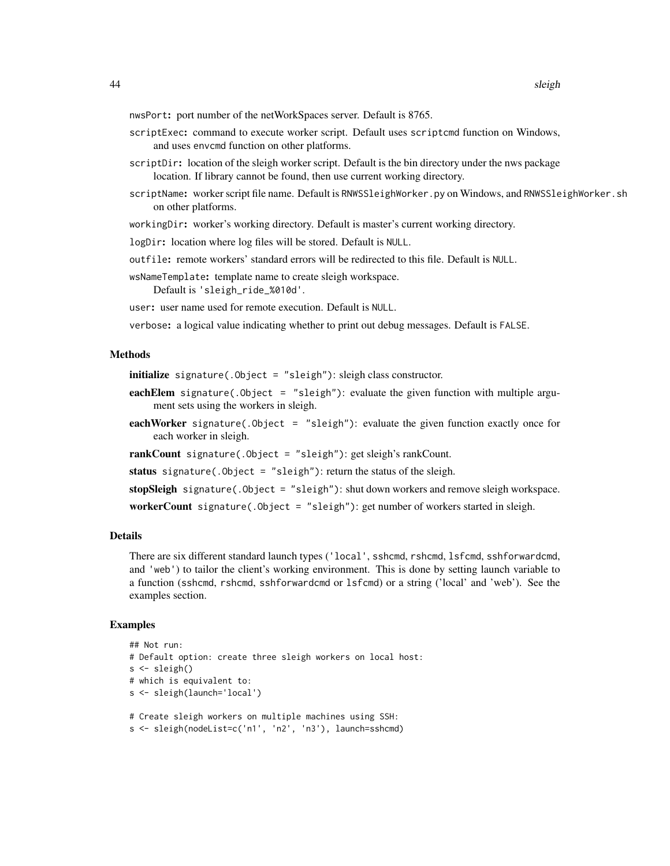nwsPort: port number of the netWorkSpaces server. Default is 8765.

- scriptExec: command to execute worker script. Default uses scriptcmd function on Windows, and uses envcmd function on other platforms.
- scriptDir: location of the sleigh worker script. Default is the bin directory under the nws package location. If library cannot be found, then use current working directory.
- scriptName: worker script file name. Default is RNWSSleighWorker.py on Windows, and RNWSSleighWorker.sh on other platforms.

workingDir: worker's working directory. Default is master's current working directory.

logDir: location where log files will be stored. Default is NULL.

outfile: remote workers' standard errors will be redirected to this file. Default is NULL.

wsNameTemplate: template name to create sleigh workspace. Default is 'sleigh\_ride\_%010d'.

user: user name used for remote execution. Default is NULL.

verbose: a logical value indicating whether to print out debug messages. Default is FALSE.

#### Methods

initialize signature(.Object = "sleigh"): sleigh class constructor.

- eachElem signature(. $Object = "sleep")$ : evaluate the given function with multiple argument sets using the workers in sleigh.
- eachWorker signature(.Object = "sleigh"): evaluate the given function exactly once for each worker in sleigh.

rankCount signature(.Object = "sleigh"): get sleigh's rankCount.

status signature(. $Object = "sleigh")$ : return the status of the sleigh.

stopSleigh signature(.Object = "sleigh"): shut down workers and remove sleigh workspace.

workerCount signature(.Object = "sleigh"): get number of workers started in sleigh.

#### Details

There are six different standard launch types ('local', sshcmd, rshcmd, lsfcmd, sshforwardcmd, and 'web') to tailor the client's working environment. This is done by setting launch variable to a function (sshcmd, rshcmd, sshforwardcmd or lsfcmd) or a string ('local' and 'web'). See the examples section.

```
## Not run:
# Default option: create three sleigh workers on local host:
s <- sleigh()
# which is equivalent to:
s <- sleigh(launch='local')
# Create sleigh workers on multiple machines using SSH:
```

```
s <- sleigh(nodeList=c('n1', 'n2', 'n3'), launch=sshcmd)
```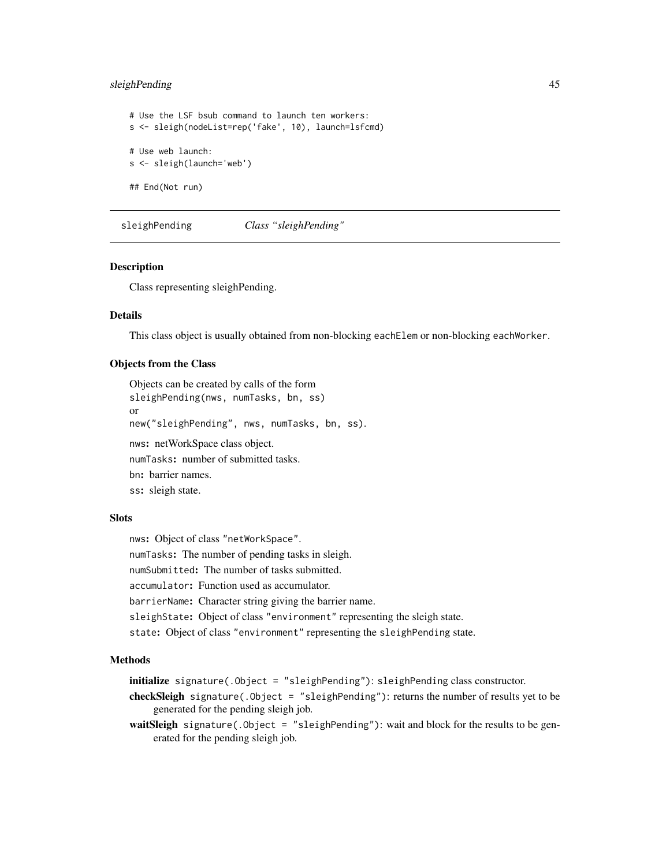# <span id="page-44-0"></span>sleighPending 45

# Use the LSF bsub command to launch ten workers: s <- sleigh(nodeList=rep('fake', 10), launch=lsfcmd) # Use web launch: s <- sleigh(launch='web') ## End(Not run)

<span id="page-44-1"></span>sleighPending *Class "sleighPending"*

#### Description

Class representing sleighPending.

#### Details

This class object is usually obtained from non-blocking eachElem or non-blocking eachWorker.

#### Objects from the Class

Objects can be created by calls of the form sleighPending(nws, numTasks, bn, ss) or new("sleighPending", nws, numTasks, bn, ss). nws: netWorkSpace class object. numTasks: number of submitted tasks. bn: barrier names. ss: sleigh state.

# **Slots**

nws: Object of class "netWorkSpace". numTasks: The number of pending tasks in sleigh. numSubmitted: The number of tasks submitted. accumulator: Function used as accumulator. barrierName: Character string giving the barrier name. sleighState: Object of class "environment" representing the sleigh state. state: Object of class "environment" representing the sleighPending state.

#### Methods

initialize signature(.Object = "sleighPending"): sleighPending class constructor.

checkSleigh signature(.Object = "sleighPending"): returns the number of results yet to be generated for the pending sleigh job.

waitSleigh signature(.Object = "sleighPending"): wait and block for the results to be generated for the pending sleigh job.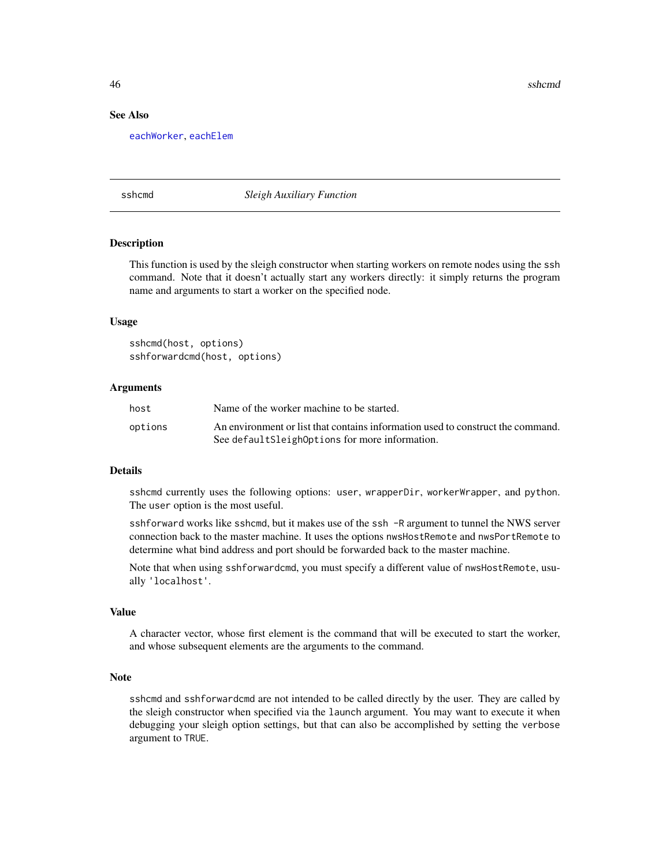46 sshcmd states and states are stated as the state of the states and states are stated as  $\sim$  sshcmd states and states are stated as  $\sim$  sshcmd states and states are stated as  $\sim$  sshcmd states and states are stated as

# See Also

[eachWorker](#page-9-1), [eachElem](#page-5-1)

<span id="page-45-1"></span>sshcmd *Sleigh Auxiliary Function*

#### Description

This function is used by the sleigh constructor when starting workers on remote nodes using the ssh command. Note that it doesn't actually start any workers directly: it simply returns the program name and arguments to start a worker on the specified node.

#### Usage

```
sshcmd(host, options)
sshforwardcmd(host, options)
```
#### Arguments

| host    | Name of the worker machine to be started.                                       |
|---------|---------------------------------------------------------------------------------|
| options | An environment or list that contains information used to construct the command. |
|         | See default Sleigh Options for more information.                                |

#### Details

sshcmd currently uses the following options: user, wrapperDir, workerWrapper, and python. The user option is the most useful.

sshforward works like sshcmd, but it makes use of the ssh -R argument to tunnel the NWS server connection back to the master machine. It uses the options nwsHostRemote and nwsPortRemote to determine what bind address and port should be forwarded back to the master machine.

Note that when using sshforwardcmd, you must specify a different value of nwsHostRemote, usually 'localhost'.

# Value

A character vector, whose first element is the command that will be executed to start the worker, and whose subsequent elements are the arguments to the command.

#### Note

sshcmd and sshforwardcmd are not intended to be called directly by the user. They are called by the sleigh constructor when specified via the launch argument. You may want to execute it when debugging your sleigh option settings, but that can also be accomplished by setting the verbose argument to TRUE.

<span id="page-45-0"></span>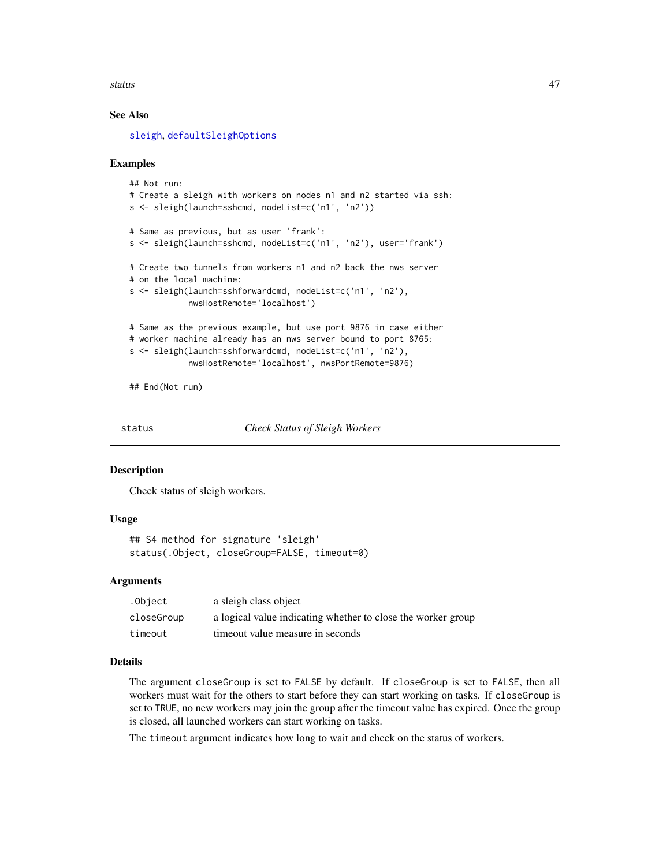#### <span id="page-46-0"></span>status and the status and the status and the status and the status and the status and the status and the status

# See Also

[sleigh](#page-42-1), [defaultSleighOptions](#page-5-2)

#### Examples

```
## Not run:
# Create a sleigh with workers on nodes n1 and n2 started via ssh:
s <- sleigh(launch=sshcmd, nodeList=c('n1', 'n2'))
# Same as previous, but as user 'frank':
s <- sleigh(launch=sshcmd, nodeList=c('n1', 'n2'), user='frank')
# Create two tunnels from workers n1 and n2 back the nws server
# on the local machine:
s <- sleigh(launch=sshforwardcmd, nodeList=c('n1', 'n2'),
            nwsHostRemote='localhost')
# Same as the previous example, but use port 9876 in case either
# worker machine already has an nws server bound to port 8765:
s <- sleigh(launch=sshforwardcmd, nodeList=c('n1', 'n2'),
            nwsHostRemote='localhost', nwsPortRemote=9876)
```
## End(Not run)

status *Check Status of Sleigh Workers*

#### **Description**

Check status of sleigh workers.

#### Usage

```
## S4 method for signature 'sleigh'
status(.Object, closeGroup=FALSE, timeout=0)
```
#### Arguments

| .Object    | a sleigh class object                                        |
|------------|--------------------------------------------------------------|
| closeGroup | a logical value indicating whether to close the worker group |
| timeout    | time out value measure in seconds                            |

#### Details

The argument closeGroup is set to FALSE by default. If closeGroup is set to FALSE, then all workers must wait for the others to start before they can start working on tasks. If closeGroup is set to TRUE, no new workers may join the group after the timeout value has expired. Once the group is closed, all launched workers can start working on tasks.

The timeout argument indicates how long to wait and check on the status of workers.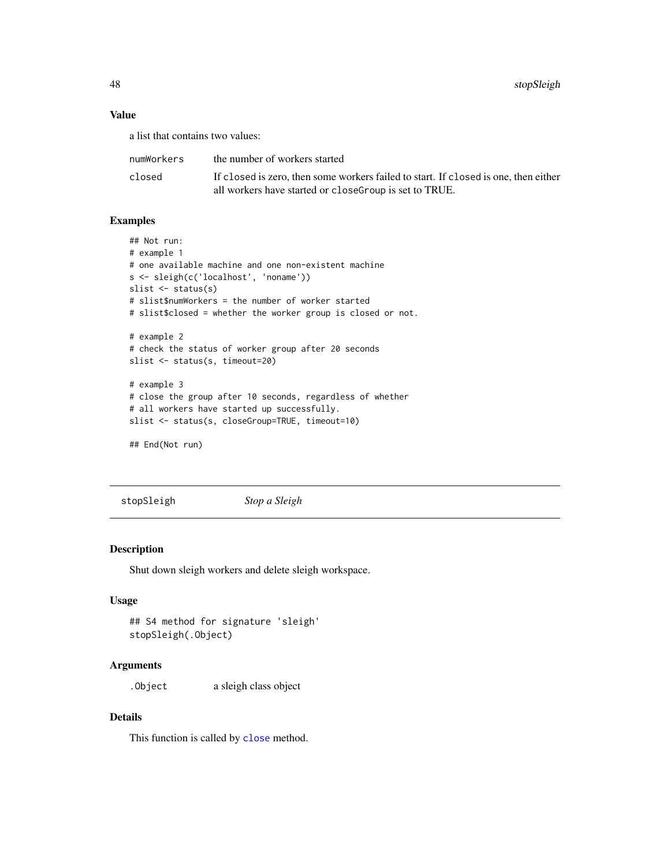<span id="page-47-0"></span>48 stopSleigh

# Value

a list that contains two values:

| numWorkers | the number of workers started                                                       |
|------------|-------------------------------------------------------------------------------------|
| closed     | If closed is zero, then some workers failed to start. If closed is one, then either |
|            | all workers have started or close Group is set to TRUE.                             |

# Examples

```
## Not run:
# example 1
# one available machine and one non-existent machine
s <- sleigh(c('localhost', 'noname'))
slist <- status(s)
# slist$numWorkers = the number of worker started
# slist$closed = whether the worker group is closed or not.
# example 2
# check the status of worker group after 20 seconds
slist <- status(s, timeout=20)
# example 3
# close the group after 10 seconds, regardless of whether
# all workers have started up successfully.
slist <- status(s, closeGroup=TRUE, timeout=10)
```

```
## End(Not run)
```
stopSleigh *Stop a Sleigh*

# Description

Shut down sleigh workers and delete sleigh workspace.

# Usage

```
## S4 method for signature 'sleigh'
stopSleigh(.Object)
```
#### Arguments

.Object a sleigh class object

### Details

This function is called by [close](#page-4-1) method.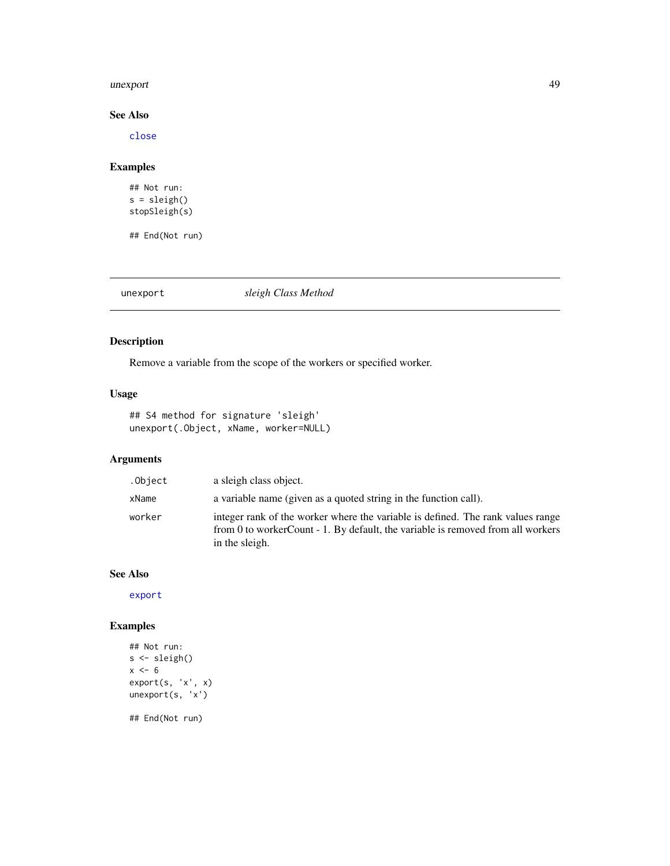#### <span id="page-48-0"></span>unexport 49

# See Also

[close](#page-4-1)

# Examples

```
## Not run:
s = sleigh()
stopSleigh(s)
```
## End(Not run)

<span id="page-48-1"></span>unexport *sleigh Class Method*

# Description

Remove a variable from the scope of the workers or specified worker.

# Usage

## S4 method for signature 'sleigh' unexport(.Object, xName, worker=NULL)

# Arguments

| .Object | a sleigh class object.                                                                                                                                                               |
|---------|--------------------------------------------------------------------------------------------------------------------------------------------------------------------------------------|
| xName   | a variable name (given as a quoted string in the function call).                                                                                                                     |
| worker  | integer rank of the worker where the variable is defined. The rank values range<br>from 0 to workerCount - 1. By default, the variable is removed from all workers<br>in the sleigh. |

# See Also

[export](#page-11-1)

```
## Not run:
s <- sleigh()
x < -6export(s, 'x', x)
unexport(s, 'x')
## End(Not run)
```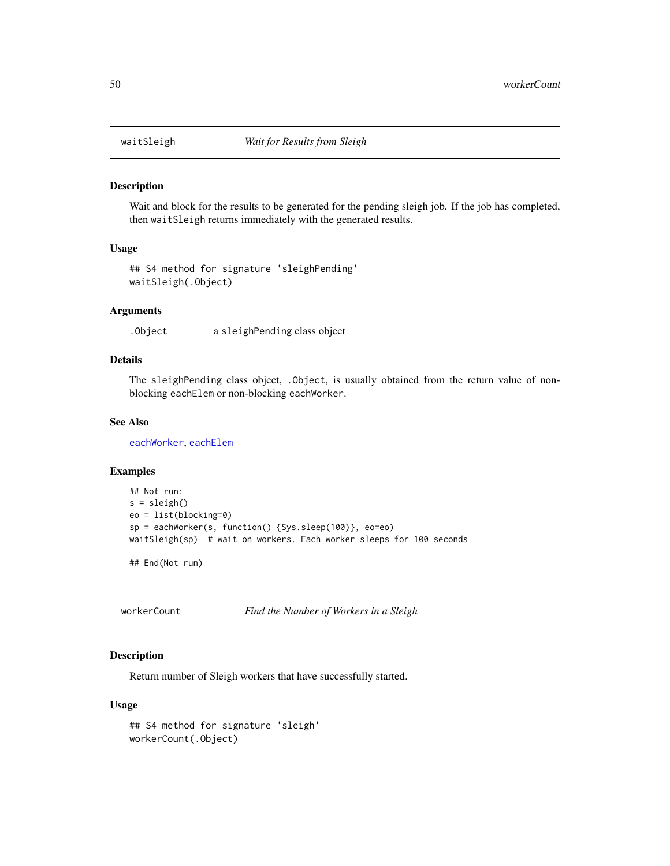<span id="page-49-0"></span>

Wait and block for the results to be generated for the pending sleigh job. If the job has completed, then waitSleigh returns immediately with the generated results.

#### Usage

```
## S4 method for signature 'sleighPending'
waitSleigh(.Object)
```
#### Arguments

.Object a sleighPending class object

# Details

The sleighPending class object, .Object, is usually obtained from the return value of nonblocking eachElem or non-blocking eachWorker.

# See Also

[eachWorker](#page-9-1), [eachElem](#page-5-1)

#### Examples

```
## Not run:
s = sleigh()eo = list(blocking=0)
sp = eachWorker(s, function() {Sys.sleep(100)}, eo=eo)
waitSleigh(sp) # wait on workers. Each worker sleeps for 100 seconds
```
## End(Not run)

workerCount *Find the Number of Workers in a Sleigh*

# Description

Return number of Sleigh workers that have successfully started.

#### Usage

```
## S4 method for signature 'sleigh'
workerCount(.Object)
```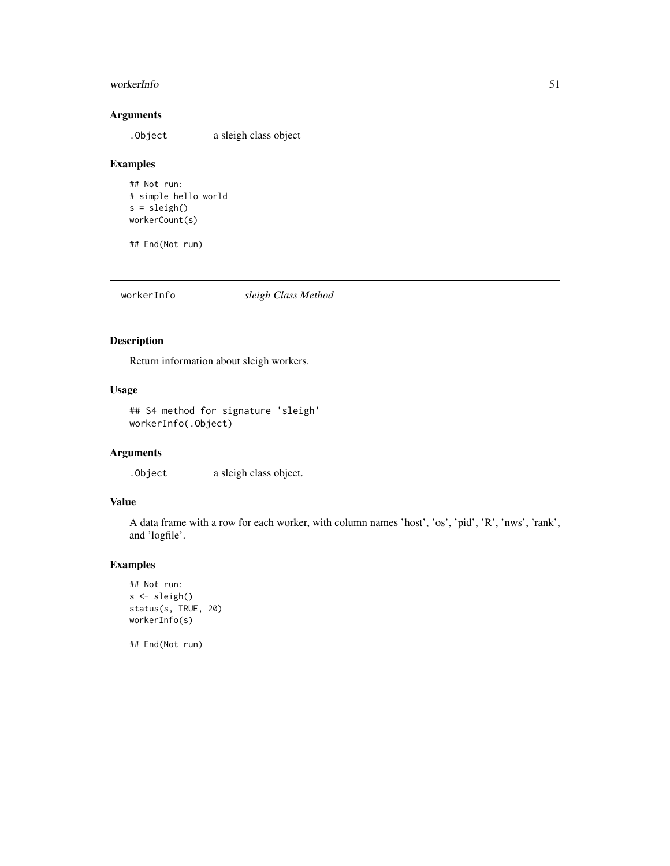#### <span id="page-50-0"></span>workerInfo 51

# Arguments

.Object a sleigh class object

# Examples

```
## Not run:
# simple hello world
s = sleigh()
workerCount(s)
```
## End(Not run)

workerInfo *sleigh Class Method*

# Description

Return information about sleigh workers.

# Usage

## S4 method for signature 'sleigh' workerInfo(.Object)

# Arguments

.Object a sleigh class object.

# Value

A data frame with a row for each worker, with column names 'host', 'os', 'pid', 'R', 'nws', 'rank', and 'logfile'.

# Examples

```
## Not run:
s <- sleigh()
status(s, TRUE, 20)
workerInfo(s)
```
## End(Not run)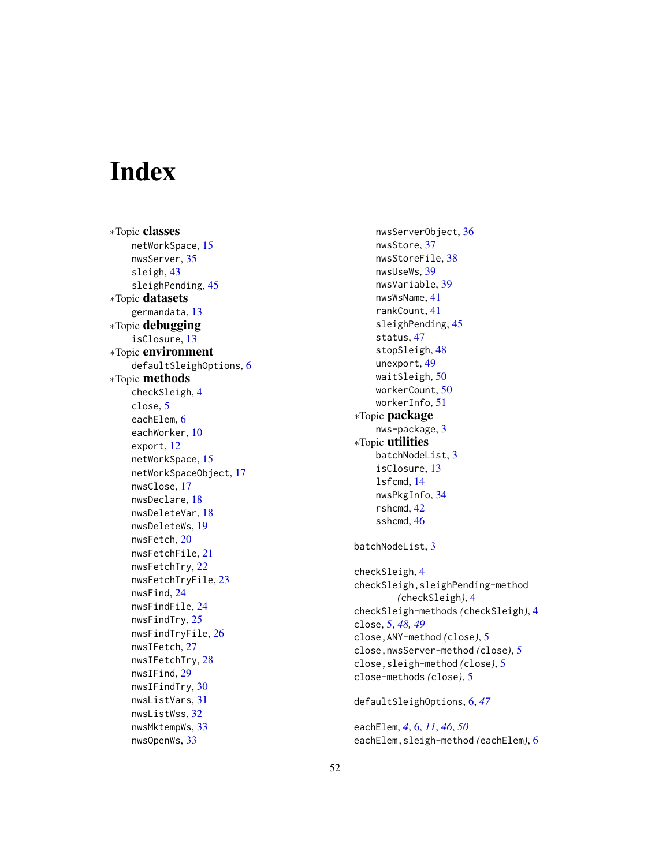# <span id="page-51-0"></span>**Index**

∗Topic classes netWorkSpace , [15](#page-14-0) nwsServer , [35](#page-34-0) sleigh , [43](#page-42-0) sleighPending , [45](#page-44-0) ∗Topic datasets germandata , [13](#page-12-0) ∗Topic debugging isClosure , [13](#page-12-0) ∗Topic environment defaultSleighOptions , [6](#page-5-0) ∗Topic methods checkSleigh , [4](#page-3-0) close , [5](#page-4-0) eachElem, [6](#page-5-0) eachWorker , [10](#page-9-0) export , [12](#page-11-0) netWorkSpace , [15](#page-14-0) netWorkSpaceObject , [17](#page-16-0) nwsClose , [17](#page-16-0) nwsDeclare , [18](#page-17-0) nwsDeleteVar , [18](#page-17-0) nwsDeleteWs , [19](#page-18-0) nwsFetch , [20](#page-19-0) nwsFetchFile , [21](#page-20-0) nwsFetchTry, [22](#page-21-0) nwsFetchTryFile , [23](#page-22-0) nwsFind , [24](#page-23-0) nwsFindFile , [24](#page-23-0) nwsFindTry , [25](#page-24-0) nwsFindTryFile , [26](#page-25-0) nwsIFetch , [27](#page-26-0) nwsIFetchTry, [28](#page-27-0) nwsIFind , [29](#page-28-0) nwsIFindTry , [30](#page-29-0) nwsListVars , [31](#page-30-0) nwsListWss , [32](#page-31-0) nwsMktempWs , [33](#page-32-0) nwsOpenWs , [33](#page-32-0)

nwsServerObject , [36](#page-35-0) nwsStore , [37](#page-36-0) nwsStoreFile, [38](#page-37-0) nwsUseWs , [39](#page-38-0) nwsVariable , [39](#page-38-0) nwsWsName , [41](#page-40-0) rankCount , [41](#page-40-0) sleighPending, [45](#page-44-0) status , [47](#page-46-0) stopSleigh , [48](#page-47-0) unexport , [49](#page-48-0) waitSleigh, <mark>[50](#page-49-0)</mark> workerCount , [50](#page-49-0) workerInfo , [51](#page-50-0) ∗Topic package nws-package, <mark>[3](#page-2-0)</mark> ∗Topic utilities batchNodeList , [3](#page-2-0) isClosure , [13](#page-12-0) lsfcmd , [14](#page-13-0) nwsPkgInfo , [34](#page-33-0) rshcmd , [42](#page-41-0) sshcmd, [46](#page-45-0) batchNodeList , [3](#page-2-0) checkSleigh , [4](#page-3-0) checkSleigh,sleighPending-method *(*checkSleigh*)*, [4](#page-3-0) checkSleigh-methods *(*checkSleigh *)* , [4](#page-3-0) close , [5](#page-4-0) , *[48](#page-47-0) , [49](#page-48-0)* close,ANY-method *(*close *)* , [5](#page-4-0) close,nwsServer-method *(*close *)* , [5](#page-4-0) close,sleigh-method *(*close *)* , [5](#page-4-0) close-methods *(*close *)* , [5](#page-4-0) defaultSleighOptions , [6](#page-5-0) , *[47](#page-46-0)*

eachElem , *[4](#page-3-0)* , [6](#page-5-0) , *[11](#page-10-0)* , *[46](#page-45-0)* , *[50](#page-49-0)* eachElem,sleigh-method *(*eachElem *)* , [6](#page-5-0)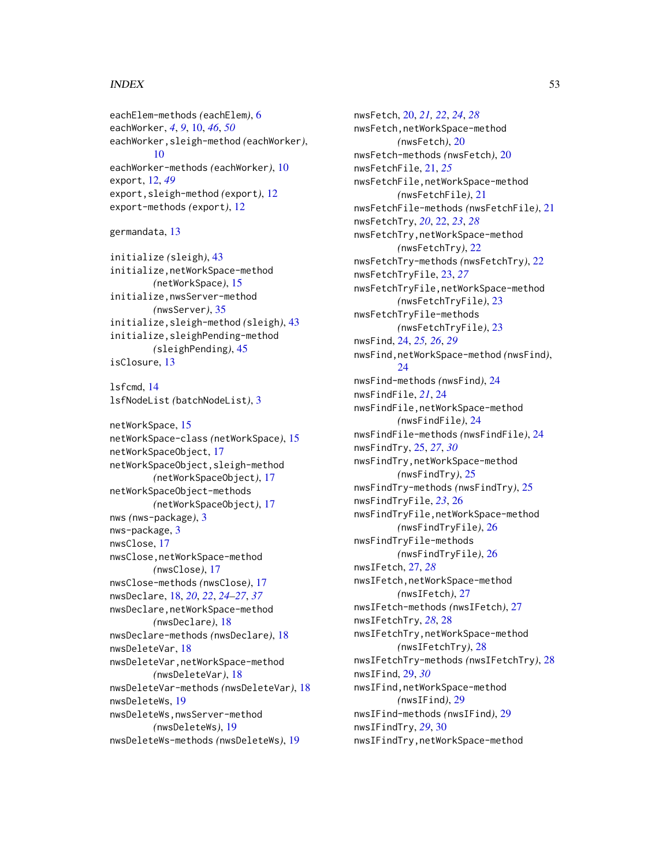#### $I<sub>N</sub>DEX$  53

eachElem-methods *(*eachElem*)*, [6](#page-5-0) eachWorker, *[4](#page-3-0)*, *[9](#page-8-0)*, [10,](#page-9-0) *[46](#page-45-0)*, *[50](#page-49-0)* eachWorker,sleigh-method *(*eachWorker*)*, [10](#page-9-0) eachWorker-methods *(*eachWorker*)*, [10](#page-9-0) export, [12,](#page-11-0) *[49](#page-48-0)* export,sleigh-method *(*export*)*, [12](#page-11-0) export-methods *(*export*)*, [12](#page-11-0)

```
germandata, 13
```
initialize *(*sleigh*)*, [43](#page-42-0) initialize,netWorkSpace-method *(*netWorkSpace*)*, [15](#page-14-0) initialize,nwsServer-method *(*nwsServer*)*, [35](#page-34-0) initialize,sleigh-method *(*sleigh*)*, [43](#page-42-0) initialize,sleighPending-method *(*sleighPending*)*, [45](#page-44-0) isClosure, [13](#page-12-0)

lsfcmd, [14](#page-13-0) lsfNodeList *(*batchNodeList*)*, [3](#page-2-0)

netWorkSpace, [15](#page-14-0) netWorkSpace-class *(*netWorkSpace*)*, [15](#page-14-0) netWorkSpaceObject, [17](#page-16-0) netWorkSpaceObject,sleigh-method *(*netWorkSpaceObject*)*, [17](#page-16-0) netWorkSpaceObject-methods *(*netWorkSpaceObject*)*, [17](#page-16-0) nws *(*nws-package*)*, [3](#page-2-0) nws-package, [3](#page-2-0) nwsClose, [17](#page-16-0) nwsClose,netWorkSpace-method *(*nwsClose*)*, [17](#page-16-0) nwsClose-methods *(*nwsClose*)*, [17](#page-16-0) nwsDeclare, [18,](#page-17-0) *[20](#page-19-0)*, *[22](#page-21-0)*, *[24–](#page-23-0)[27](#page-26-0)*, *[37](#page-36-0)* nwsDeclare,netWorkSpace-method *(*nwsDeclare*)*, [18](#page-17-0) nwsDeclare-methods *(*nwsDeclare*)*, [18](#page-17-0) nwsDeleteVar, [18](#page-17-0) nwsDeleteVar,netWorkSpace-method *(*nwsDeleteVar*)*, [18](#page-17-0) nwsDeleteVar-methods *(*nwsDeleteVar*)*, [18](#page-17-0) nwsDeleteWs, [19](#page-18-0) nwsDeleteWs,nwsServer-method *(*nwsDeleteWs*)*, [19](#page-18-0) nwsDeleteWs-methods *(*nwsDeleteWs*)*, [19](#page-18-0)

nwsFetch, [20,](#page-19-0) *[21,](#page-20-0) [22](#page-21-0)*, *[24](#page-23-0)*, *[28](#page-27-0)* nwsFetch,netWorkSpace-method *(*nwsFetch*)*, [20](#page-19-0) nwsFetch-methods *(*nwsFetch*)*, [20](#page-19-0) nwsFetchFile, [21,](#page-20-0) *[25](#page-24-0)* nwsFetchFile,netWorkSpace-method *(*nwsFetchFile*)*, [21](#page-20-0) nwsFetchFile-methods *(*nwsFetchFile*)*, [21](#page-20-0) nwsFetchTry, *[20](#page-19-0)*, [22,](#page-21-0) *[23](#page-22-0)*, *[28](#page-27-0)* nwsFetchTry,netWorkSpace-method *(*nwsFetchTry*)*, [22](#page-21-0) nwsFetchTry-methods *(*nwsFetchTry*)*, [22](#page-21-0) nwsFetchTryFile, [23,](#page-22-0) *[27](#page-26-0)* nwsFetchTryFile,netWorkSpace-method *(*nwsFetchTryFile*)*, [23](#page-22-0) nwsFetchTryFile-methods *(*nwsFetchTryFile*)*, [23](#page-22-0) nwsFind, [24,](#page-23-0) *[25,](#page-24-0) [26](#page-25-0)*, *[29](#page-28-0)* nwsFind,netWorkSpace-method *(*nwsFind*)*, [24](#page-23-0) nwsFind-methods *(*nwsFind*)*, [24](#page-23-0) nwsFindFile, *[21](#page-20-0)*, [24](#page-23-0) nwsFindFile,netWorkSpace-method *(*nwsFindFile*)*, [24](#page-23-0) nwsFindFile-methods *(*nwsFindFile*)*, [24](#page-23-0) nwsFindTry, [25,](#page-24-0) *[27](#page-26-0)*, *[30](#page-29-0)* nwsFindTry,netWorkSpace-method *(*nwsFindTry*)*, [25](#page-24-0) nwsFindTry-methods *(*nwsFindTry*)*, [25](#page-24-0) nwsFindTryFile, *[23](#page-22-0)*, [26](#page-25-0) nwsFindTryFile,netWorkSpace-method *(*nwsFindTryFile*)*, [26](#page-25-0) nwsFindTryFile-methods *(*nwsFindTryFile*)*, [26](#page-25-0) nwsIFetch, [27,](#page-26-0) *[28](#page-27-0)* nwsIFetch,netWorkSpace-method *(*nwsIFetch*)*, [27](#page-26-0) nwsIFetch-methods *(*nwsIFetch*)*, [27](#page-26-0) nwsIFetchTry, *[28](#page-27-0)*, [28](#page-27-0) nwsIFetchTry,netWorkSpace-method *(*nwsIFetchTry*)*, [28](#page-27-0) nwsIFetchTry-methods *(*nwsIFetchTry*)*, [28](#page-27-0) nwsIFind, [29,](#page-28-0) *[30](#page-29-0)* nwsIFind,netWorkSpace-method *(*nwsIFind*)*, [29](#page-28-0) nwsIFind-methods *(*nwsIFind*)*, [29](#page-28-0) nwsIFindTry, *[29](#page-28-0)*, [30](#page-29-0) nwsIFindTry,netWorkSpace-method